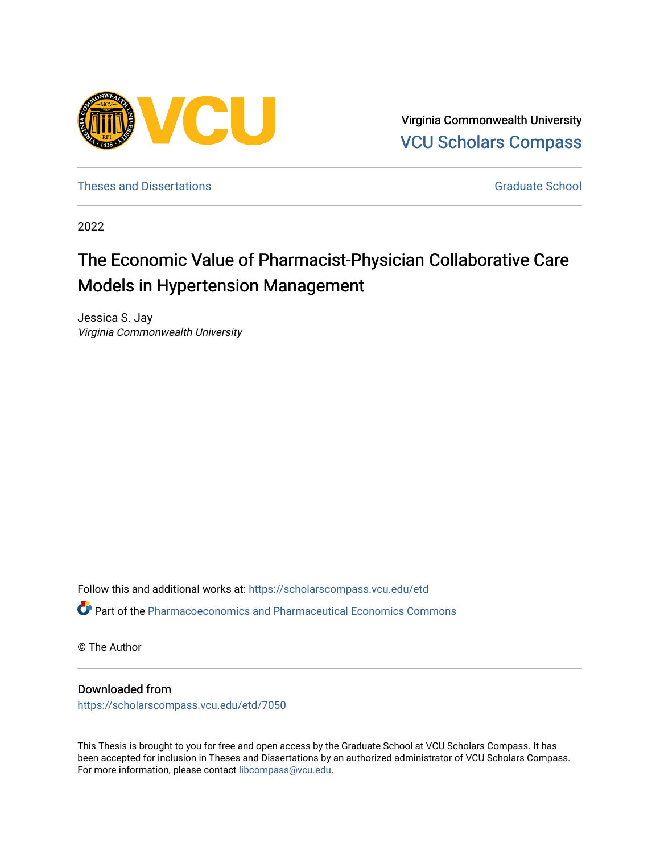

Virginia Commonwealth University [VCU Scholars Compass](https://scholarscompass.vcu.edu/) 

[Theses and Dissertations](https://scholarscompass.vcu.edu/etd) [Graduate School](https://scholarscompass.vcu.edu/gradschool) and Dissertations Graduate School and Dissertations Graduate School and Dissertations Graduate School and Dissertations Graduate School and Dissertations Graduate School and Dissert

2022

# The Economic Value of Pharmacist-Physician Collaborative Care Models in Hypertension Management

Jessica S. Jay Virginia Commonwealth University

Follow this and additional works at: [https://scholarscompass.vcu.edu/etd](https://scholarscompass.vcu.edu/etd?utm_source=scholarscompass.vcu.edu%2Fetd%2F7050&utm_medium=PDF&utm_campaign=PDFCoverPages)  Part of the [Pharmacoeconomics and Pharmaceutical Economics Commons](https://network.bepress.com/hgg/discipline/736?utm_source=scholarscompass.vcu.edu%2Fetd%2F7050&utm_medium=PDF&utm_campaign=PDFCoverPages) 

© The Author

# Downloaded from

[https://scholarscompass.vcu.edu/etd/7050](https://scholarscompass.vcu.edu/etd/7050?utm_source=scholarscompass.vcu.edu%2Fetd%2F7050&utm_medium=PDF&utm_campaign=PDFCoverPages) 

This Thesis is brought to you for free and open access by the Graduate School at VCU Scholars Compass. It has been accepted for inclusion in Theses and Dissertations by an authorized administrator of VCU Scholars Compass. For more information, please contact [libcompass@vcu.edu](mailto:libcompass@vcu.edu).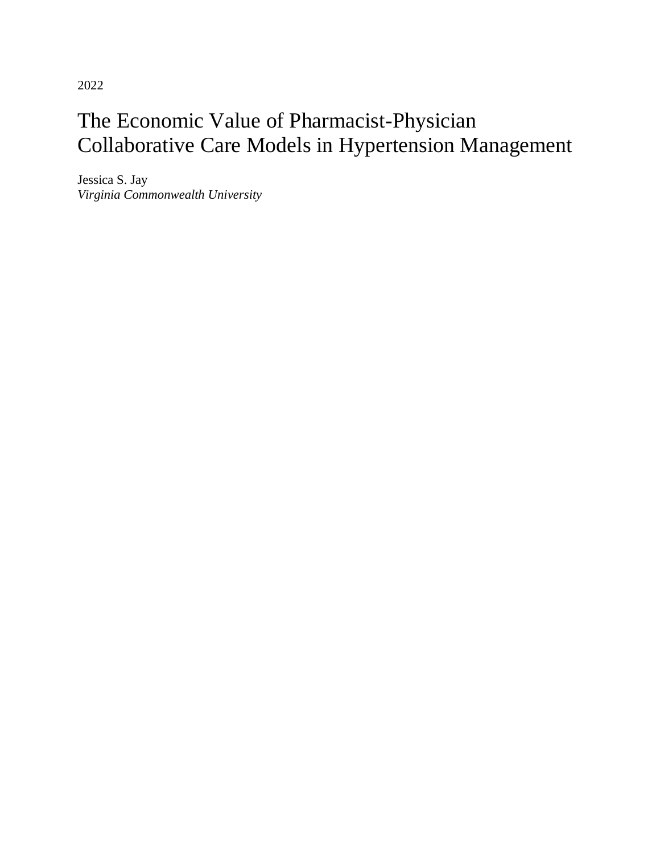2022

# The Economic Value of Pharmacist-Physician Collaborative Care Models in Hypertension Management

Jessica S. Jay *Virginia Commonwealth University*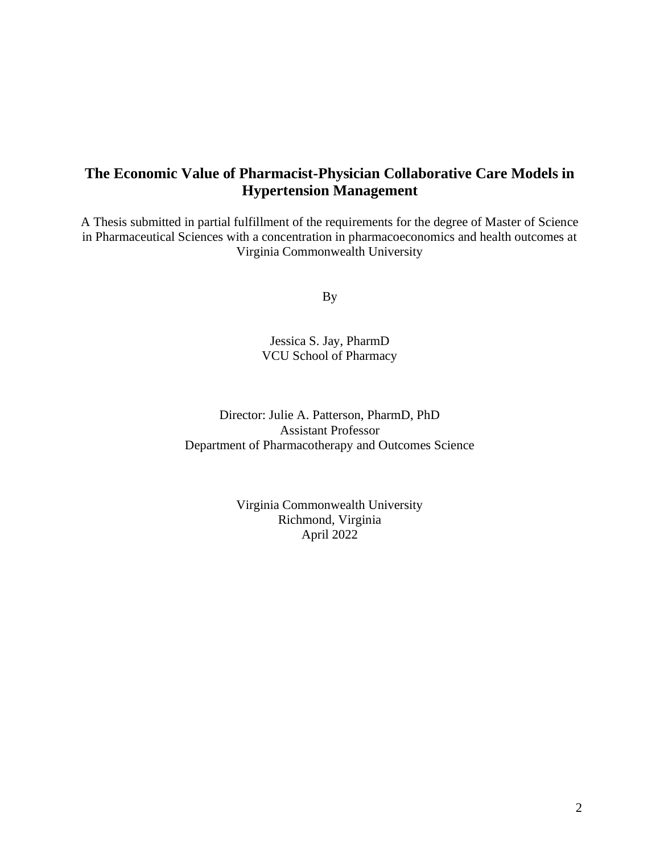# **The Economic Value of Pharmacist-Physician Collaborative Care Models in Hypertension Management**

A Thesis submitted in partial fulfillment of the requirements for the degree of Master of Science in Pharmaceutical Sciences with a concentration in pharmacoeconomics and health outcomes at Virginia Commonwealth University

By

Jessica S. Jay, PharmD VCU School of Pharmacy

Director: Julie A. Patterson, PharmD, PhD Assistant Professor Department of Pharmacotherapy and Outcomes Science

> Virginia Commonwealth University Richmond, Virginia April 2022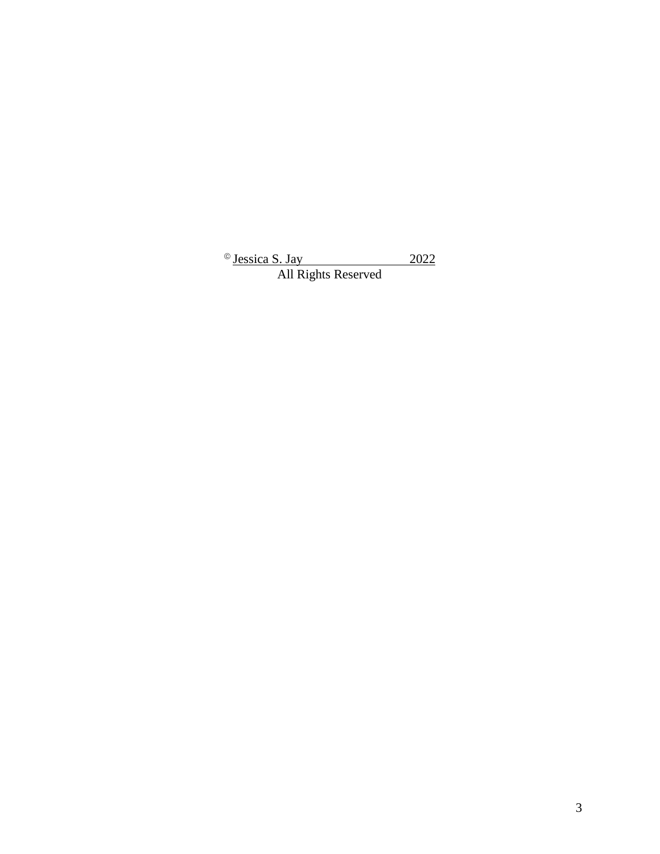© Jessica S. Jay 2022 All Rights Reserved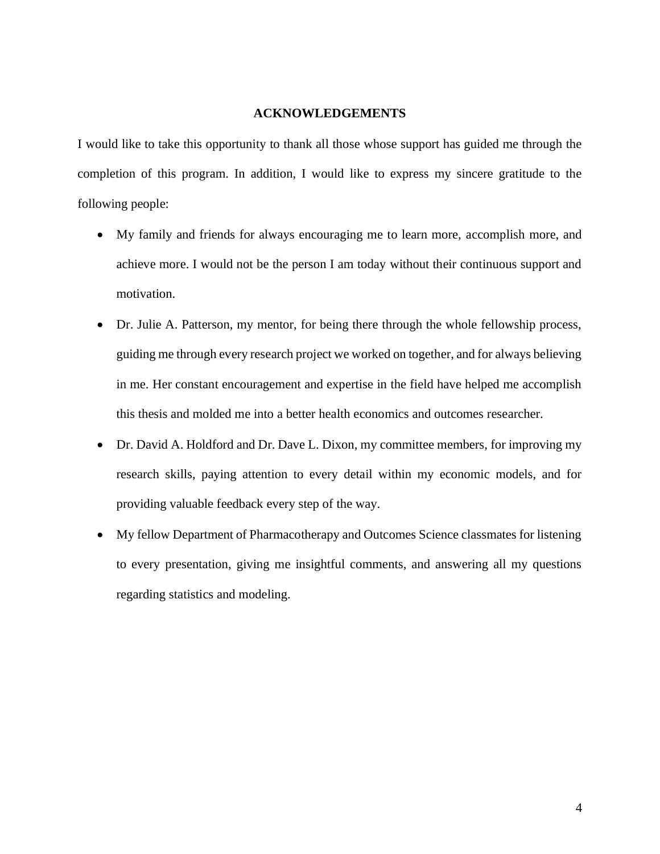# **ACKNOWLEDGEMENTS**

<span id="page-4-0"></span>I would like to take this opportunity to thank all those whose support has guided me through the completion of this program. In addition, I would like to express my sincere gratitude to the following people:

- My family and friends for always encouraging me to learn more, accomplish more, and achieve more. I would not be the person I am today without their continuous support and motivation.
- Dr. Julie A. Patterson, my mentor, for being there through the whole fellowship process, guiding me through every research project we worked on together, and for always believing in me. Her constant encouragement and expertise in the field have helped me accomplish this thesis and molded me into a better health economics and outcomes researcher.
- Dr. David A. Holdford and Dr. Dave L. Dixon, my committee members, for improving my research skills, paying attention to every detail within my economic models, and for providing valuable feedback every step of the way.
- My fellow Department of Pharmacotherapy and Outcomes Science classmates for listening to every presentation, giving me insightful comments, and answering all my questions regarding statistics and modeling.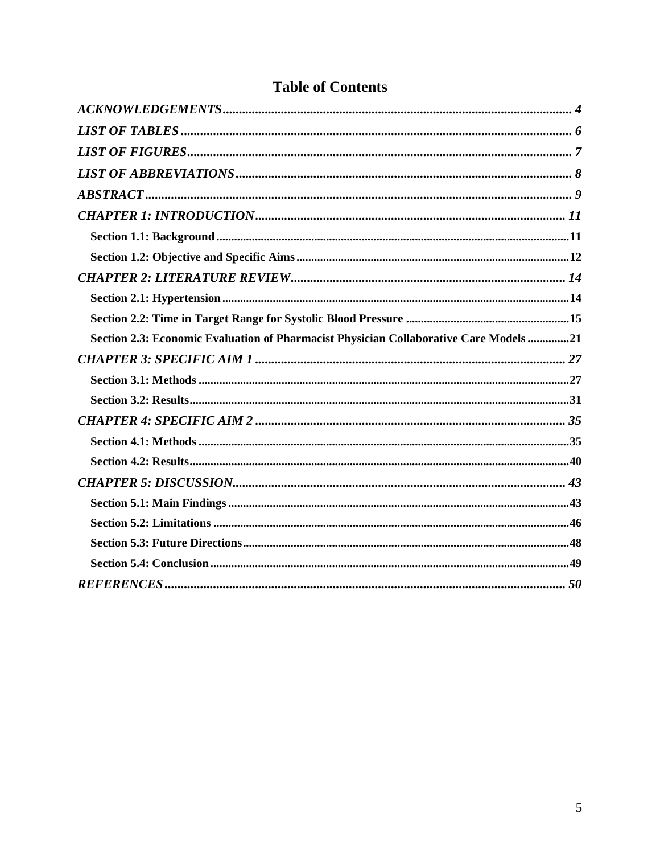| Section 2.3: Economic Evaluation of Pharmacist Physician Collaborative Care Models 21 |
|---------------------------------------------------------------------------------------|
|                                                                                       |
|                                                                                       |
|                                                                                       |
|                                                                                       |
|                                                                                       |
|                                                                                       |
|                                                                                       |
|                                                                                       |
|                                                                                       |
|                                                                                       |
|                                                                                       |
|                                                                                       |

# **Table of Contents**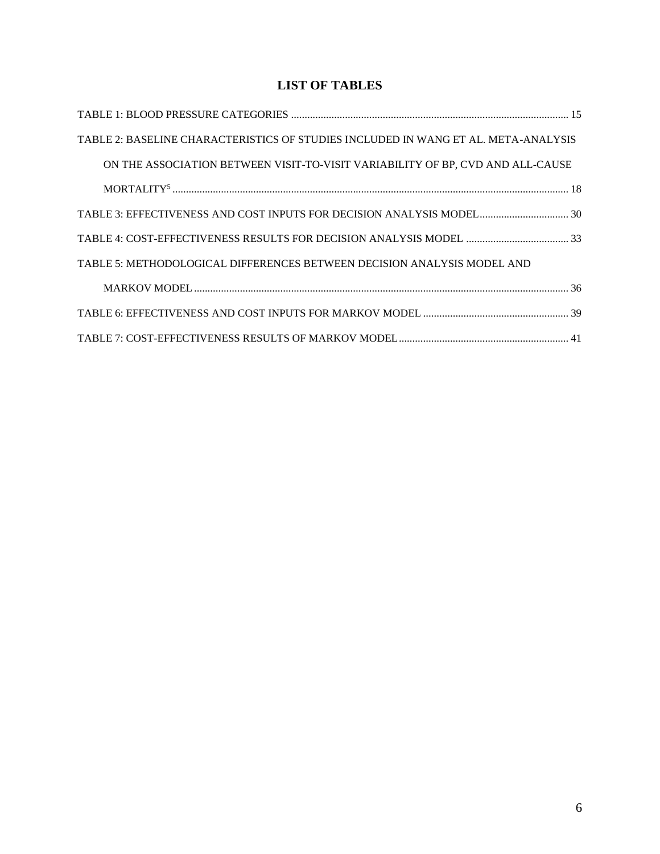# **LIST OF TABLES**

<span id="page-6-0"></span>

| TABLE 2: BASELINE CHARACTERISTICS OF STUDIES INCLUDED IN WANG ET AL. META-ANALYSIS |  |
|------------------------------------------------------------------------------------|--|
| ON THE ASSOCIATION BETWEEN VISIT-TO-VISIT VARIABILITY OF BP, CVD AND ALL-CAUSE     |  |
| $MORTALITY518$                                                                     |  |
| TABLE 3: EFFECTIVENESS AND COST INPUTS FOR DECISION ANALYSIS MODEL 30              |  |
|                                                                                    |  |
| TABLE 5: METHODOLOGICAL DIFFERENCES BETWEEN DECISION ANALYSIS MODEL AND            |  |
|                                                                                    |  |
|                                                                                    |  |
|                                                                                    |  |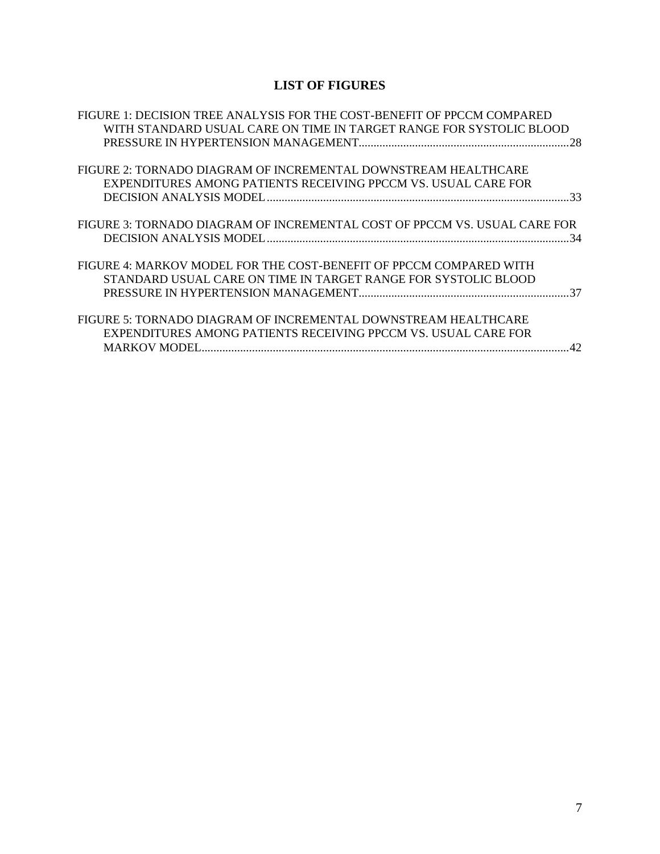# **LIST OF FIGURES**

<span id="page-7-0"></span>

| FIGURE 1: DECISION TREE ANALYSIS FOR THE COST-BENEFIT OF PPCCM COMPARED   |
|---------------------------------------------------------------------------|
| WITH STANDARD USUAL CARE ON TIME IN TARGET RANGE FOR SYSTOLIC BLOOD       |
|                                                                           |
|                                                                           |
| FIGURE 2: TORNADO DIAGRAM OF INCREMENTAL DOWNSTREAM HEALTHCARE            |
| EXPENDITURES AMONG PATIENTS RECEIVING PPCCM VS. USUAL CARE FOR            |
|                                                                           |
|                                                                           |
| FIGURE 3: TORNADO DIAGRAM OF INCREMENTAL COST OF PPCCM VS. USUAL CARE FOR |
|                                                                           |
|                                                                           |
| FIGURE 4: MARKOV MODEL FOR THE COST-BENEFIT OF PPCCM COMPARED WITH        |
| STANDARD USUAL CARE ON TIME IN TARGET RANGE FOR SYSTOLIC BLOOD            |
|                                                                           |
|                                                                           |
| FIGURE 5: TORNADO DIAGRAM OF INCREMENTAL DOWNSTREAM HEALTHCARE            |
| EXPENDITURES AMONG PATIENTS RECEIVING PPCCM VS. USUAL CARE FOR            |
| $\Delta$                                                                  |
|                                                                           |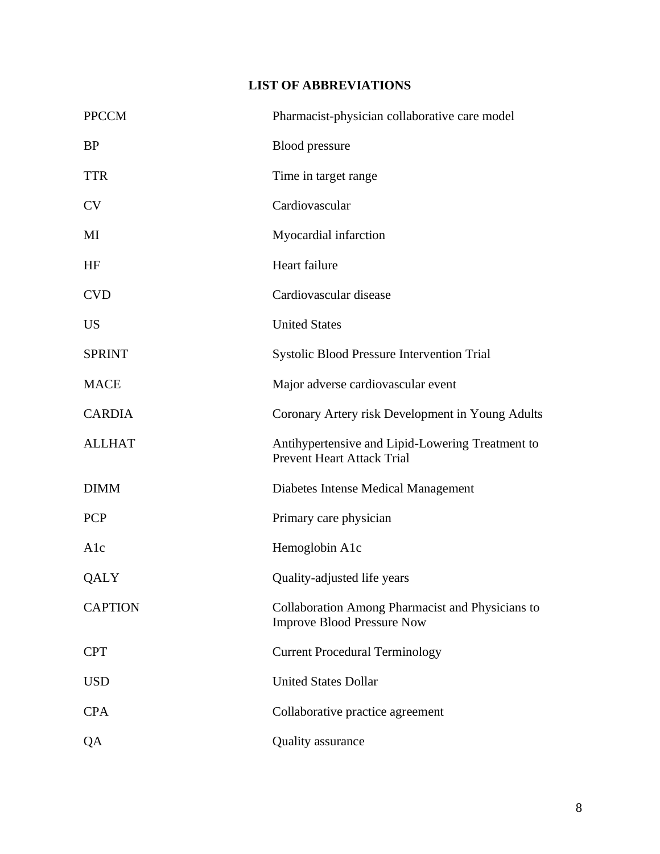# **LIST OF ABBREVIATIONS**

<span id="page-8-0"></span>

| <b>PPCCM</b>   | Pharmacist-physician collaborative care model                                         |
|----------------|---------------------------------------------------------------------------------------|
| <b>BP</b>      | <b>Blood</b> pressure                                                                 |
| <b>TTR</b>     | Time in target range                                                                  |
| <b>CV</b>      | Cardiovascular                                                                        |
| MI             | Myocardial infarction                                                                 |
| HF             | Heart failure                                                                         |
| <b>CVD</b>     | Cardiovascular disease                                                                |
| <b>US</b>      | <b>United States</b>                                                                  |
| <b>SPRINT</b>  | <b>Systolic Blood Pressure Intervention Trial</b>                                     |
| <b>MACE</b>    | Major adverse cardiovascular event                                                    |
| <b>CARDIA</b>  | Coronary Artery risk Development in Young Adults                                      |
| <b>ALLHAT</b>  | Antihypertensive and Lipid-Lowering Treatment to<br><b>Prevent Heart Attack Trial</b> |
| <b>DIMM</b>    | Diabetes Intense Medical Management                                                   |
| <b>PCP</b>     | Primary care physician                                                                |
| Alc            | Hemoglobin A1c                                                                        |
| QALY           | Quality-adjusted life years                                                           |
| <b>CAPTION</b> | Collaboration Among Pharmacist and Physicians to<br><b>Improve Blood Pressure Now</b> |
| <b>CPT</b>     | <b>Current Procedural Terminology</b>                                                 |
| <b>USD</b>     | <b>United States Dollar</b>                                                           |
| <b>CPA</b>     | Collaborative practice agreement                                                      |
| QA             | <b>Quality assurance</b>                                                              |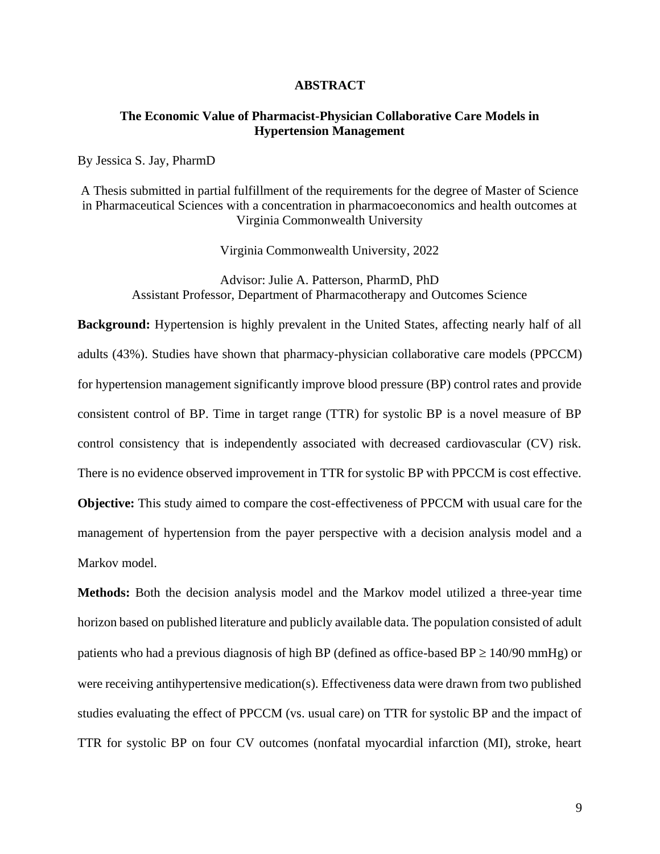#### **ABSTRACT**

## <span id="page-9-0"></span>**The Economic Value of Pharmacist-Physician Collaborative Care Models in Hypertension Management**

By Jessica S. Jay, PharmD

A Thesis submitted in partial fulfillment of the requirements for the degree of Master of Science in Pharmaceutical Sciences with a concentration in pharmacoeconomics and health outcomes at Virginia Commonwealth University

Virginia Commonwealth University, 2022

Advisor: Julie A. Patterson, PharmD, PhD Assistant Professor, Department of Pharmacotherapy and Outcomes Science

**Background:** Hypertension is highly prevalent in the United States, affecting nearly half of all adults (43%). Studies have shown that pharmacy-physician collaborative care models (PPCCM) for hypertension management significantly improve blood pressure (BP) control rates and provide consistent control of BP. Time in target range (TTR) for systolic BP is a novel measure of BP control consistency that is independently associated with decreased cardiovascular (CV) risk. There is no evidence observed improvement in TTR for systolic BP with PPCCM is cost effective. **Objective:** This study aimed to compare the cost-effectiveness of PPCCM with usual care for the management of hypertension from the payer perspective with a decision analysis model and a Markov model.

**Methods:** Both the decision analysis model and the Markov model utilized a three-year time horizon based on published literature and publicly available data. The population consisted of adult patients who had a previous diagnosis of high BP (defined as office-based BP  $\geq$  140/90 mmHg) or were receiving antihypertensive medication(s). Effectiveness data were drawn from two published studies evaluating the effect of PPCCM (vs. usual care) on TTR for systolic BP and the impact of TTR for systolic BP on four CV outcomes (nonfatal myocardial infarction (MI), stroke, heart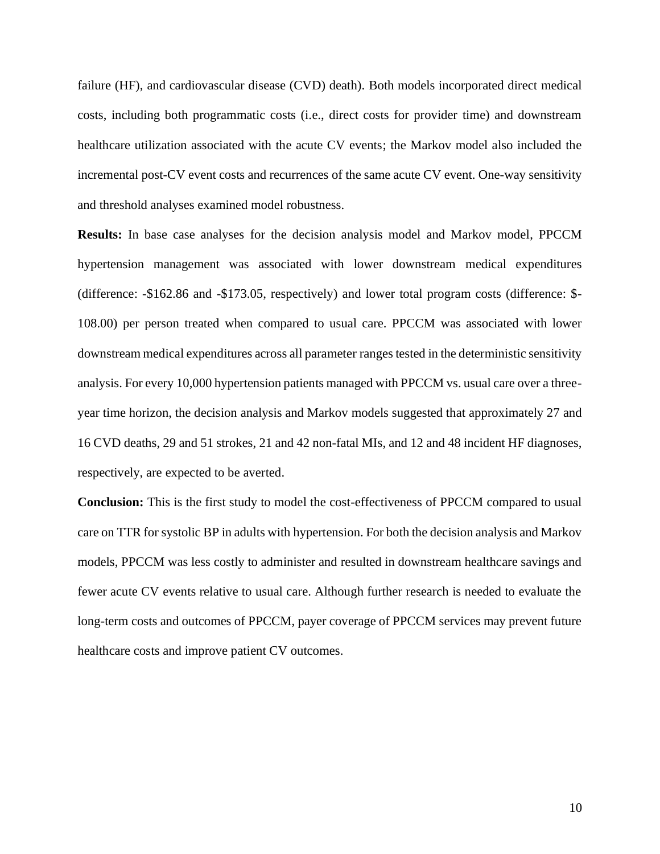failure (HF), and cardiovascular disease (CVD) death). Both models incorporated direct medical costs, including both programmatic costs (i.e., direct costs for provider time) and downstream healthcare utilization associated with the acute CV events; the Markov model also included the incremental post-CV event costs and recurrences of the same acute CV event. One-way sensitivity and threshold analyses examined model robustness.

**Results:** In base case analyses for the decision analysis model and Markov model, PPCCM hypertension management was associated with lower downstream medical expenditures (difference: -\$162.86 and -\$173.05, respectively) and lower total program costs (difference: \$- 108.00) per person treated when compared to usual care. PPCCM was associated with lower downstream medical expenditures across all parameter ranges tested in the deterministic sensitivity analysis. For every 10,000 hypertension patients managed with PPCCM vs. usual care over a threeyear time horizon, the decision analysis and Markov models suggested that approximately 27 and 16 CVD deaths, 29 and 51 strokes, 21 and 42 non-fatal MIs, and 12 and 48 incident HF diagnoses, respectively, are expected to be averted.

**Conclusion:** This is the first study to model the cost-effectiveness of PPCCM compared to usual care on TTR for systolic BP in adults with hypertension. For both the decision analysis and Markov models, PPCCM was less costly to administer and resulted in downstream healthcare savings and fewer acute CV events relative to usual care. Although further research is needed to evaluate the long-term costs and outcomes of PPCCM, payer coverage of PPCCM services may prevent future healthcare costs and improve patient CV outcomes.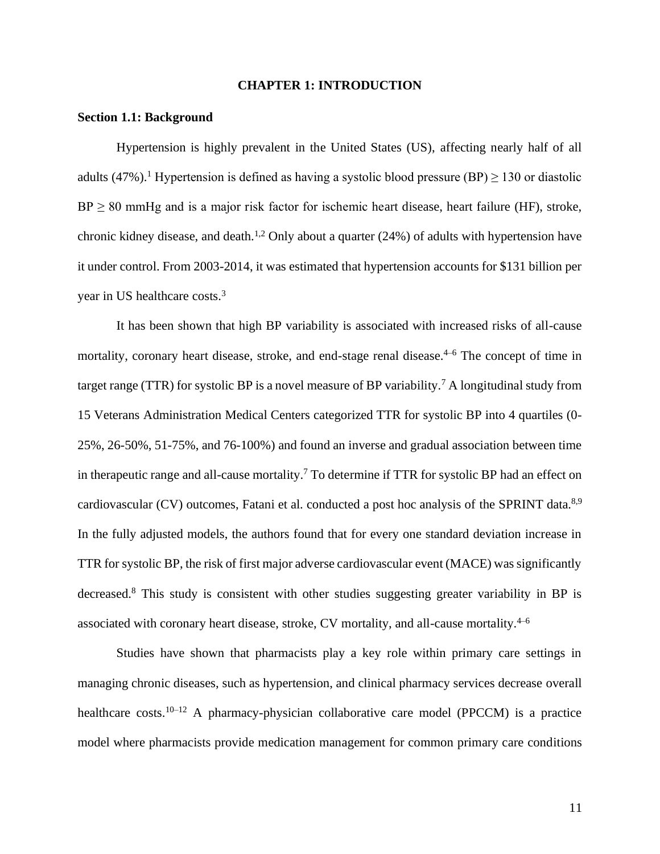#### **CHAPTER 1: INTRODUCTION**

## <span id="page-11-1"></span><span id="page-11-0"></span>**Section 1.1: Background**

Hypertension is highly prevalent in the United States (US), affecting nearly half of all adults (47%).<sup>1</sup> Hypertension is defined as having a systolic blood pressure (BP)  $\geq$  130 or diastolic  $BP \geq 80$  mmHg and is a major risk factor for ischemic heart disease, heart failure (HF), stroke, chronic kidney disease, and death.<sup>1,2</sup> Only about a quarter  $(24%)$  of adults with hypertension have it under control. From 2003-2014, it was estimated that hypertension accounts for \$131 billion per year in US healthcare costs.<sup>3</sup>

It has been shown that high BP variability is associated with increased risks of all-cause mortality, coronary heart disease, stroke, and end-stage renal disease. 4–6 The concept of time in target range (TTR) for systolic BP is a novel measure of BP variability.<sup>7</sup> A longitudinal study from 15 Veterans Administration Medical Centers categorized TTR for systolic BP into 4 quartiles (0- 25%, 26-50%, 51-75%, and 76-100%) and found an inverse and gradual association between time in therapeutic range and all-cause mortality.<sup>7</sup> To determine if TTR for systolic BP had an effect on cardiovascular (CV) outcomes, Fatani et al. conducted a post hoc analysis of the SPRINT data.<sup>8,9</sup> In the fully adjusted models, the authors found that for every one standard deviation increase in TTR for systolic BP, the risk of first major adverse cardiovascular event (MACE) was significantly decreased.<sup>8</sup> This study is consistent with other studies suggesting greater variability in BP is associated with coronary heart disease, stroke, CV mortality, and all-cause mortality.4–6

Studies have shown that pharmacists play a key role within primary care settings in managing chronic diseases, such as hypertension, and clinical pharmacy services decrease overall healthcare costs.<sup>10–12</sup> A pharmacy-physician collaborative care model (PPCCM) is a practice model where pharmacists provide medication management for common primary care conditions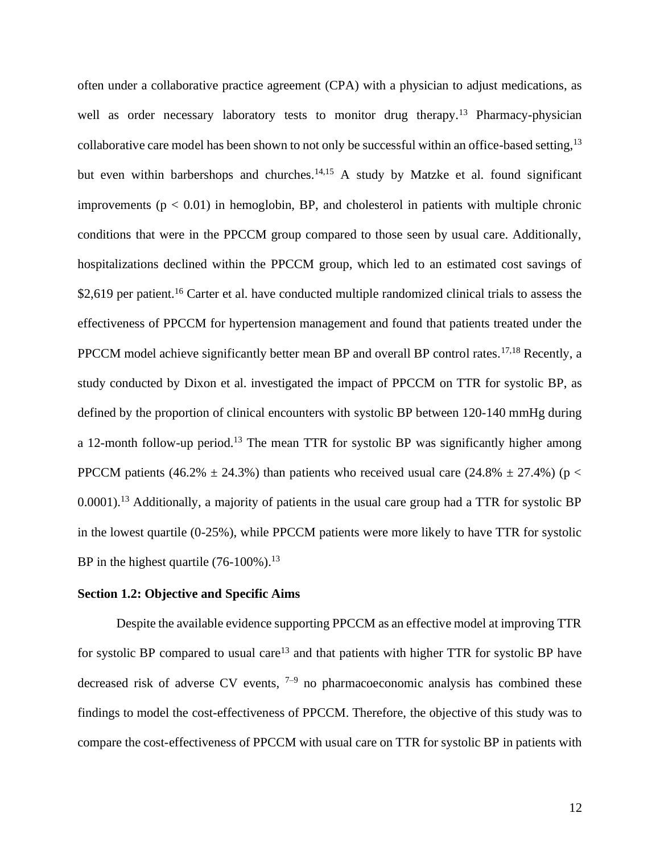often under a collaborative practice agreement (CPA) with a physician to adjust medications, as well as order necessary laboratory tests to monitor drug therapy.<sup>13</sup> Pharmacy-physician collaborative care model has been shown to not only be successful within an office-based setting,<sup>13</sup> but even within barbershops and churches.<sup>14,15</sup> A study by Matzke et al. found significant improvements ( $p < 0.01$ ) in hemoglobin, BP, and cholesterol in patients with multiple chronic conditions that were in the PPCCM group compared to those seen by usual care. Additionally, hospitalizations declined within the PPCCM group, which led to an estimated cost savings of \$2,619 per patient.<sup>16</sup> Carter et al. have conducted multiple randomized clinical trials to assess the effectiveness of PPCCM for hypertension management and found that patients treated under the PPCCM model achieve significantly better mean BP and overall BP control rates.<sup>17,18</sup> Recently, a study conducted by Dixon et al. investigated the impact of PPCCM on TTR for systolic BP, as defined by the proportion of clinical encounters with systolic BP between 120-140 mmHg during a 12-month follow-up period.<sup>13</sup> The mean TTR for systolic BP was significantly higher among PPCCM patients (46.2%  $\pm$  24.3%) than patients who received usual care (24.8%  $\pm$  27.4%) (p < 0.0001).<sup>13</sup> Additionally, a majority of patients in the usual care group had a TTR for systolic BP in the lowest quartile (0-25%), while PPCCM patients were more likely to have TTR for systolic BP in the highest quartile  $(76-100\%)$ .<sup>13</sup>

### <span id="page-12-0"></span>**Section 1.2: Objective and Specific Aims**

Despite the available evidence supporting PPCCM as an effective model at improving TTR for systolic BP compared to usual care<sup>13</sup> and that patients with higher TTR for systolic BP have decreased risk of adverse CV events,  $7-9$  no pharmacoeconomic analysis has combined these findings to model the cost-effectiveness of PPCCM. Therefore, the objective of this study was to compare the cost-effectiveness of PPCCM with usual care on TTR for systolic BP in patients with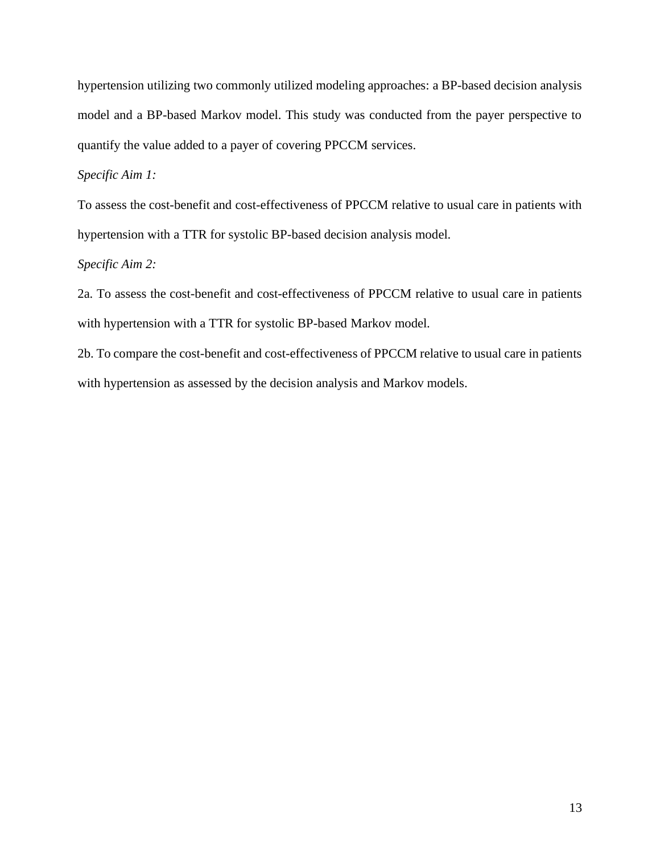hypertension utilizing two commonly utilized modeling approaches: a BP-based decision analysis model and a BP-based Markov model. This study was conducted from the payer perspective to quantify the value added to a payer of covering PPCCM services.

*Specific Aim 1:*

To assess the cost-benefit and cost-effectiveness of PPCCM relative to usual care in patients with hypertension with a TTR for systolic BP-based decision analysis model.

*Specific Aim 2:* 

2a. To assess the cost-benefit and cost-effectiveness of PPCCM relative to usual care in patients with hypertension with a TTR for systolic BP-based Markov model.

2b. To compare the cost-benefit and cost-effectiveness of PPCCM relative to usual care in patients with hypertension as assessed by the decision analysis and Markov models.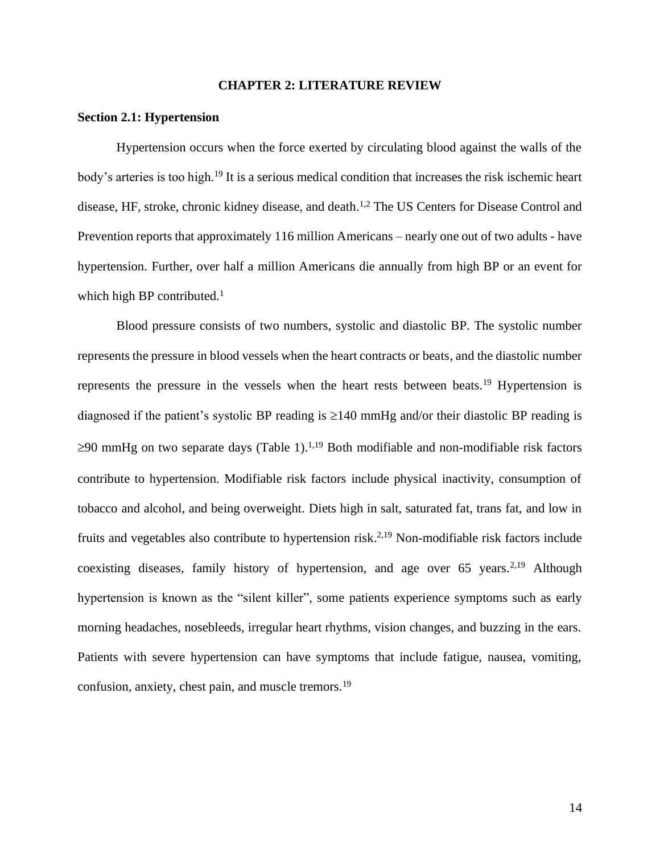#### **CHAPTER 2: LITERATURE REVIEW**

#### <span id="page-14-1"></span><span id="page-14-0"></span>**Section 2.1: Hypertension**

Hypertension occurs when the force exerted by circulating blood against the walls of the body's arteries is too high.<sup>19</sup> It is a serious medical condition that increases the risk ischemic heart disease, HF, stroke, chronic kidney disease, and death.<sup>1,2</sup> The US Centers for Disease Control and Prevention reports that approximately 116 million Americans – nearly one out of two adults - have hypertension. Further, over half a million Americans die annually from high BP or an event for which high BP contributed. $<sup>1</sup>$ </sup>

<span id="page-14-2"></span>Blood pressure consists of two numbers, systolic and diastolic BP. The systolic number represents the pressure in blood vessels when the heart contracts or beats, and the diastolic number represents the pressure in the vessels when the heart rests between beats.<sup>19</sup> Hypertension is diagnosed if the patient's systolic BP reading is  $\geq 140$  mmHg and/or their diastolic BP reading is  $\geq$ 90 mmHg on two separate days (Table 1).<sup>1,19</sup> Both modifiable and non-modifiable risk factors contribute to hypertension. Modifiable risk factors include physical inactivity, consumption of tobacco and alcohol, and being overweight. Diets high in salt, saturated fat, trans fat, and low in fruits and vegetables also contribute to hypertension risk.<sup>2,19</sup> Non-modifiable risk factors include coexisting diseases, family history of hypertension, and age over  $65$  years.<sup>2,19</sup> Although hypertension is known as the "silent killer", some patients experience symptoms such as early morning headaches, nosebleeds, irregular heart rhythms, vision changes, and buzzing in the ears. Patients with severe hypertension can have symptoms that include fatigue, nausea, vomiting, confusion, anxiety, chest pain, and muscle tremors.19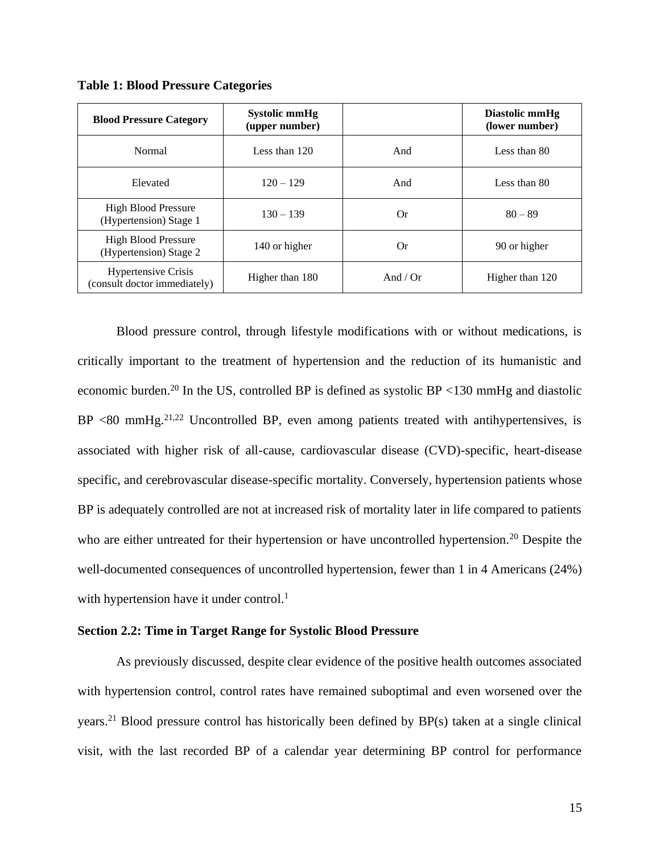**Table 1: Blood Pressure Categories**

| <b>Blood Pressure Category</b>                             | <b>Systolic mmHg</b><br>(upper number) |          | Diastolic mmHg<br>(lower number) |
|------------------------------------------------------------|----------------------------------------|----------|----------------------------------|
| Normal                                                     | Less than $120$                        | And      | Less than 80                     |
| Elevated                                                   | $120 - 129$                            | And      | Less than 80                     |
| <b>High Blood Pressure</b><br>(Hypertension) Stage 1       | $130 - 139$                            | 0r       | $80 - 89$                        |
| <b>High Blood Pressure</b><br>(Hypertension) Stage 2       | 140 or higher                          | 0r       | 90 or higher                     |
| <b>Hypertensive Crisis</b><br>(consult doctor immediately) | Higher than 180                        | And / Or | Higher than 120                  |

Blood pressure control, through lifestyle modifications with or without medications, is critically important to the treatment of hypertension and the reduction of its humanistic and economic burden.<sup>20</sup> In the US, controlled BP is defined as systolic BP <130 mmHg and diastolic  $BP < 80$  mmHg.<sup>21,22</sup> Uncontrolled BP, even among patients treated with antihypertensives, is associated with higher risk of all-cause, cardiovascular disease (CVD)-specific, heart-disease specific, and cerebrovascular disease-specific mortality. Conversely, hypertension patients whose BP is adequately controlled are not at increased risk of mortality later in life compared to patients who are either untreated for their hypertension or have uncontrolled hypertension.<sup>20</sup> Despite the well-documented consequences of uncontrolled hypertension, fewer than 1 in 4 Americans (24%) with hypertension have it under control.<sup>1</sup>

#### <span id="page-15-0"></span>**Section 2.2: Time in Target Range for Systolic Blood Pressure**

As previously discussed, despite clear evidence of the positive health outcomes associated with hypertension control, control rates have remained suboptimal and even worsened over the years.<sup>21</sup> Blood pressure control has historically been defined by BP(s) taken at a single clinical visit, with the last recorded BP of a calendar year determining BP control for performance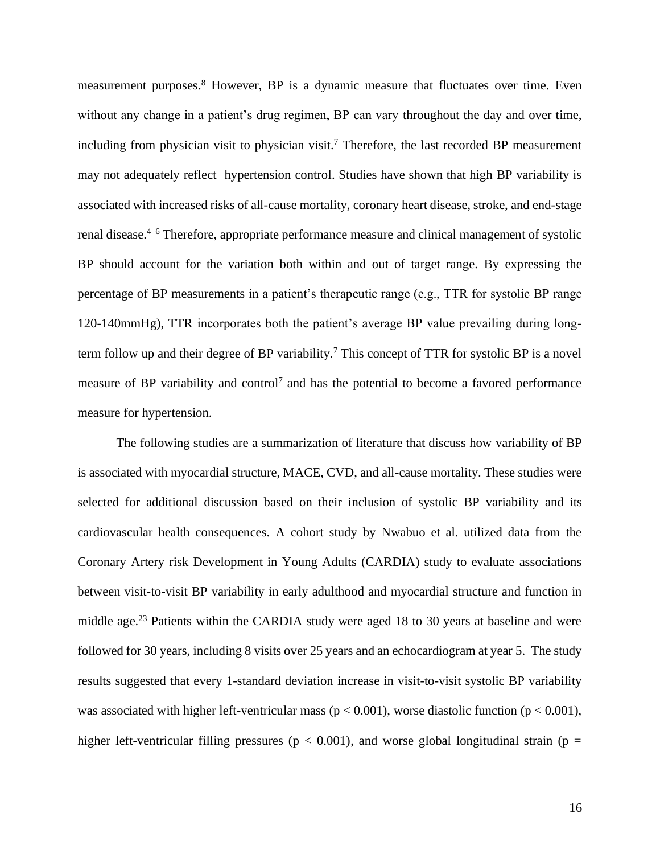measurement purposes.<sup>8</sup> However, BP is a dynamic measure that fluctuates over time. Even without any change in a patient's drug regimen, BP can vary throughout the day and over time, including from physician visit to physician visit. <sup>7</sup> Therefore, the last recorded BP measurement may not adequately reflect hypertension control. Studies have shown that high BP variability is associated with increased risks of all-cause mortality, coronary heart disease, stroke, and end-stage renal disease.4–6 Therefore, appropriate performance measure and clinical management of systolic BP should account for the variation both within and out of target range. By expressing the percentage of BP measurements in a patient's therapeutic range (e.g., TTR for systolic BP range 120-140mmHg), TTR incorporates both the patient's average BP value prevailing during longterm follow up and their degree of BP variability.<sup>7</sup> This concept of TTR for systolic BP is a novel measure of BP variability and control<sup>7</sup> and has the potential to become a favored performance measure for hypertension.

The following studies are a summarization of literature that discuss how variability of BP is associated with myocardial structure, MACE, CVD, and all-cause mortality. These studies were selected for additional discussion based on their inclusion of systolic BP variability and its cardiovascular health consequences. A cohort study by Nwabuo et al. utilized data from the Coronary Artery risk Development in Young Adults (CARDIA) study to evaluate associations between visit-to-visit BP variability in early adulthood and myocardial structure and function in middle age.<sup>23</sup> Patients within the CARDIA study were aged 18 to 30 years at baseline and were followed for 30 years, including 8 visits over 25 years and an echocardiogram at year 5. The study results suggested that every 1-standard deviation increase in visit-to-visit systolic BP variability was associated with higher left-ventricular mass ( $p < 0.001$ ), worse diastolic function ( $p < 0.001$ ), higher left-ventricular filling pressures ( $p < 0.001$ ), and worse global longitudinal strain ( $p =$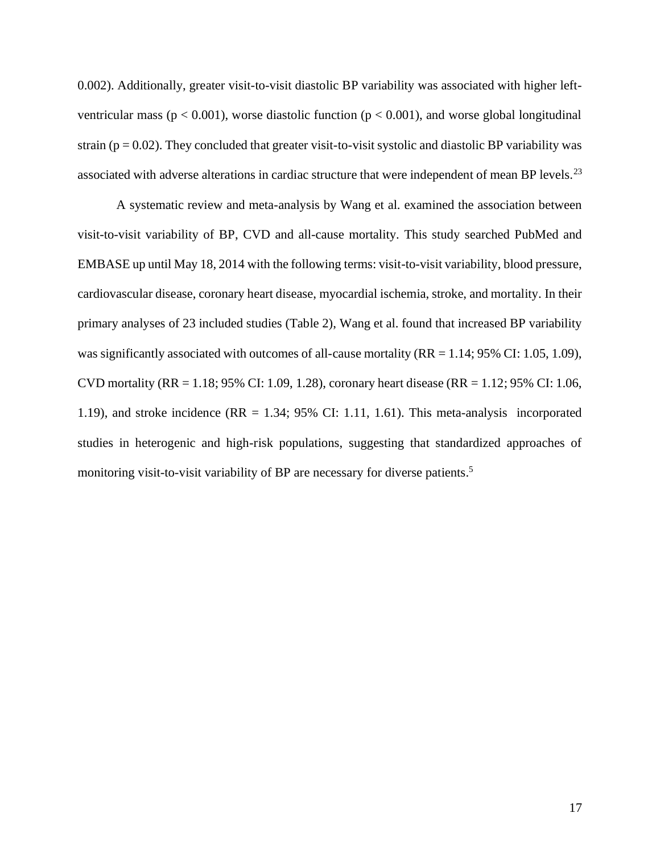0.002). Additionally, greater visit-to-visit diastolic BP variability was associated with higher leftventricular mass ( $p < 0.001$ ), worse diastolic function ( $p < 0.001$ ), and worse global longitudinal strain ( $p = 0.02$ ). They concluded that greater visit-to-visit systolic and diastolic BP variability was associated with adverse alterations in cardiac structure that were independent of mean BP levels.<sup>23</sup>

A systematic review and meta-analysis by Wang et al. examined the association between visit-to-visit variability of BP, CVD and all-cause mortality. This study searched PubMed and EMBASE up until May 18, 2014 with the following terms: visit-to-visit variability, blood pressure, cardiovascular disease, coronary heart disease, myocardial ischemia, stroke, and mortality. In their primary analyses of 23 included studies (Table 2), Wang et al. found that increased BP variability was significantly associated with outcomes of all-cause mortality ( $RR = 1.14$ ; 95% CI: 1.05, 1.09), CVD mortality (RR = 1.18; 95% CI: 1.09, 1.28), coronary heart disease (RR = 1.12; 95% CI: 1.06, 1.19), and stroke incidence (RR = 1.34; 95% CI: 1.11, 1.61). This meta-analysis incorporated studies in heterogenic and high-risk populations, suggesting that standardized approaches of monitoring visit-to-visit variability of BP are necessary for diverse patients.<sup>5</sup>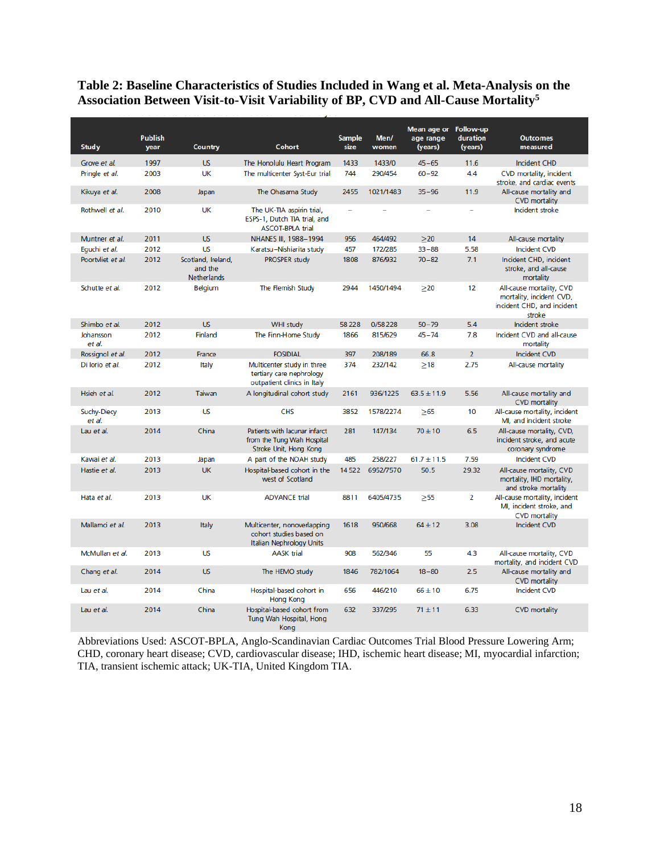# <span id="page-18-0"></span>**Table 2: Baseline Characteristics of Studies Included in Wang et al. Meta-Analysis on the Association Between Visit-to-Visit Variability of BP, CVD and All-Cause Mortality<sup>5</sup>**

| <b>Study</b>          | <b>Publish</b><br>year | <b>Country</b>                               | <b>Cohort</b>                                                                         | <b>Sample</b><br>size    | Men/<br>women | Mean age or Follow-up<br>age range<br>(years) | duration<br>(years) | <b>Outcomes</b><br>measured                                                                  |
|-----------------------|------------------------|----------------------------------------------|---------------------------------------------------------------------------------------|--------------------------|---------------|-----------------------------------------------|---------------------|----------------------------------------------------------------------------------------------|
| Grove et al.          | 1997                   | <b>US</b>                                    | The Honolulu Heart Program                                                            | 1433                     | 1433/0        | $45 - 65$                                     | 11.6                | <b>Incident CHD</b>                                                                          |
| Pringle et al.        | 2003                   | UK                                           | The multicenter Syst-Eur trial                                                        | 744                      | 290/454       | $60 - 92$                                     | 4.4                 | CVD mortality, incident<br>stroke, and cardiac events                                        |
| Kikuya et al.         | 2008                   | Japan                                        | The Ohasama Study                                                                     | 2455                     | 1021/1483     | $35 - 96$                                     | 11.9                | All-cause mortality and<br><b>CVD</b> mortality                                              |
| Rothwell et al.       | 2010                   | UK                                           | The UK-TIA aspirin trial,<br>ESPS-1, Dutch TIA trial, and<br><b>ASCOT-BPLA trial</b>  | $\overline{\phantom{0}}$ |               |                                               |                     | Incident stroke                                                                              |
| Muntner et al.        | 2011                   | <b>US</b>                                    | NHANES III, 1988-1994                                                                 | 956                      | 464/492       | >20                                           | 14                  | All-cause mortality                                                                          |
| Eguchi et al.         | 2012                   | <b>US</b>                                    | Karatsu-Nishiarita study                                                              | 457                      | 172/285       | $33 - 88$                                     | 5.58                | <b>Incident CVD</b>                                                                          |
| Poortvliet et al.     | 2012                   | Scotland, Ireland,<br>and the<br>Netherlands | <b>PROSPER study</b>                                                                  | 1808                     | 876/932       | $70 - 82$                                     | 7.1                 | Incident CHD, incident<br>stroke, and all-cause<br>mortality                                 |
| Schutte et al.        | 2012                   | <b>Belgium</b>                               | The Flemish Study                                                                     | 2944                     | 1450/1494     | >20                                           | 12                  | All-cause mortality, CVD<br>mortality, incident CVD,<br>incident CHD, and incident<br>stroke |
| Shimbo et al.         | 2012                   | <b>US</b>                                    | <b>WHI study</b>                                                                      | 58228                    | 0/58228       | $50 - 79$                                     | 5.4                 | Incident stroke                                                                              |
| Johansson<br>et al.   | 2012                   | Finland                                      | The Finn-Home Study                                                                   | 1866                     | 815/629       | $45 - 74$                                     | 7.8                 | Incident CVD and all-cause<br>mortality                                                      |
| Rossignol et al.      | 2012                   | France                                       | <b>FOSIDIAL</b>                                                                       | 397                      | 208/189       | 66.8                                          | $\overline{2}$      | <b>Incident CVD</b>                                                                          |
| Di lorio et al.       | 2012                   | Italy                                        | Multicenter study in three<br>tertiary care nephrology<br>outpatient clinics in Italy | 374                      | 232/142       | $\geq$ 18                                     | 2.75                | All-cause mortality                                                                          |
| Hsieh et al.          | 2012                   | Taiwan                                       | A longitudinal cohort study                                                           | 2161                     | 936/1225      | $63.5 \pm 11.9$                               | 5.56                | All-cause mortality and<br><b>CVD</b> mortality                                              |
| Suchy-Diecy<br>et al. | 2013                   | <b>US</b>                                    | <b>CHS</b>                                                                            | 3852                     | 1578/2274     | $\geq$ 65                                     | 10                  | All-cause mortality, incident<br>MI, and incident stroke                                     |
| Lau et al.            | 2014                   | China                                        | Patients with lacunar infarct<br>from the Tung Wah Hospital<br>Stroke Unit, Hong Kong | 281                      | 147/134       | $70 \pm 10$                                   | 6.5                 | All-cause mortality, CVD,<br>incident stroke, and acute<br>coronary syndrome                 |
| Kawai et al.          | 2013                   | Japan                                        | A part of the NOAH study                                                              | 485                      | 258/227       | $61.7 \pm 11.5$                               | 7.59                | <b>Incident CVD</b>                                                                          |
| Hastie et al.         | 2013                   | <b>UK</b>                                    | Hospital-based cohort in the<br>west of Scotland                                      | 14522                    | 6952/7570     | 50.5                                          | 29.32               | All-cause mortality, CVD<br>mortality, IHD mortality,<br>and stroke mortality                |
| Hata et al.           | 2013                   | <b>UK</b>                                    | <b>ADVANCE trial</b>                                                                  | 8811                     | 6405/4735     | >55                                           | 2                   | All-cause mortality, incident<br>MI, incident stroke, and<br><b>CVD</b> mortality            |
| Mallamci et al.       | 2013                   | Italy                                        | Multicenter, nonoverlapping<br>cohort studies based on<br>Italian Nephrology Units    | 1618                     | 950/668       | $64 + 12$                                     | 3.08                | <b>Incident CVD</b>                                                                          |
| McMullan et al.       | 2013                   | <b>US</b>                                    | <b>AASK trial</b>                                                                     | 908                      | 562/346       | 55                                            | 4.3                 | All-cause mortality, CVD<br>mortality, and incident CVD                                      |
| Chang et al.          | 2014                   | <b>US</b>                                    | The HEMO study                                                                        | 1846                     | 782/1064      | $18 - 80$                                     | 2.5                 | All-cause mortality and<br><b>CVD</b> mortality                                              |
| Lau et al.            | 2014                   | China                                        | Hospital-based cohort in<br><b>Hong Kong</b>                                          | 656                      | 446/210       | $66 \pm 10$                                   | 6.75                | <b>Incident CVD</b>                                                                          |
| Lau et al.            | 2014                   | China                                        | Hospital-based cohort from<br>Tung Wah Hospital, Hong<br>Kona                         | 632                      | 337/295       | $71 \pm 11$                                   | 6.33                | <b>CVD</b> mortality                                                                         |

Abbreviations Used: ASCOT-BPLA, Anglo-Scandinavian Cardiac Outcomes Trial Blood Pressure Lowering Arm; CHD, coronary heart disease; CVD, cardiovascular disease; IHD, ischemic heart disease; MI, myocardial infarction; TIA, transient ischemic attack; UK-TIA, United Kingdom TIA.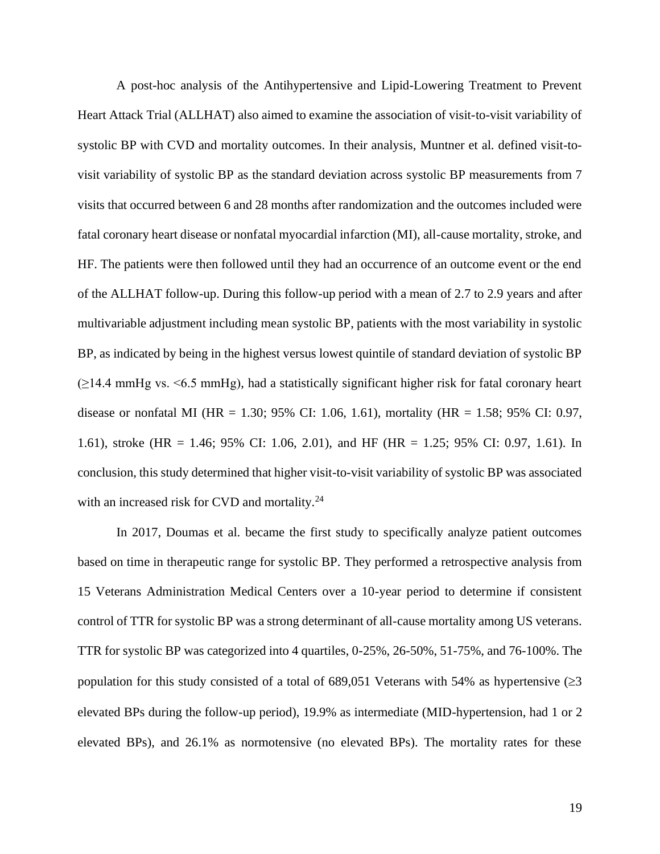A post-hoc analysis of the Antihypertensive and Lipid-Lowering Treatment to Prevent Heart Attack Trial (ALLHAT) also aimed to examine the association of visit-to-visit variability of systolic BP with CVD and mortality outcomes. In their analysis, Muntner et al. defined visit-tovisit variability of systolic BP as the standard deviation across systolic BP measurements from 7 visits that occurred between 6 and 28 months after randomization and the outcomes included were fatal coronary heart disease or nonfatal myocardial infarction (MI), all-cause mortality, stroke, and HF. The patients were then followed until they had an occurrence of an outcome event or the end of the ALLHAT follow-up. During this follow-up period with a mean of 2.7 to 2.9 years and after multivariable adjustment including mean systolic BP, patients with the most variability in systolic BP, as indicated by being in the highest versus lowest quintile of standard deviation of systolic BP (≥14.4 mmHg vs. <6.5 mmHg), had a statistically significant higher risk for fatal coronary heart disease or nonfatal MI (HR = 1.30; 95% CI: 1.06, 1.61), mortality (HR = 1.58; 95% CI: 0.97, 1.61), stroke (HR = 1.46; 95% CI: 1.06, 2.01), and HF (HR = 1.25; 95% CI: 0.97, 1.61). In conclusion, this study determined that higher visit-to-visit variability of systolic BP was associated with an increased risk for CVD and mortality.<sup>24</sup>

In 2017, Doumas et al. became the first study to specifically analyze patient outcomes based on time in therapeutic range for systolic BP. They performed a retrospective analysis from 15 Veterans Administration Medical Centers over a 10-year period to determine if consistent control of TTR for systolic BP was a strong determinant of all-cause mortality among US veterans. TTR for systolic BP was categorized into 4 quartiles, 0-25%, 26-50%, 51-75%, and 76-100%. The population for this study consisted of a total of 689,051 Veterans with 54% as hypertensive  $(\geq 3$ elevated BPs during the follow-up period), 19.9% as intermediate (MID-hypertension, had 1 or 2 elevated BPs), and 26.1% as normotensive (no elevated BPs). The mortality rates for these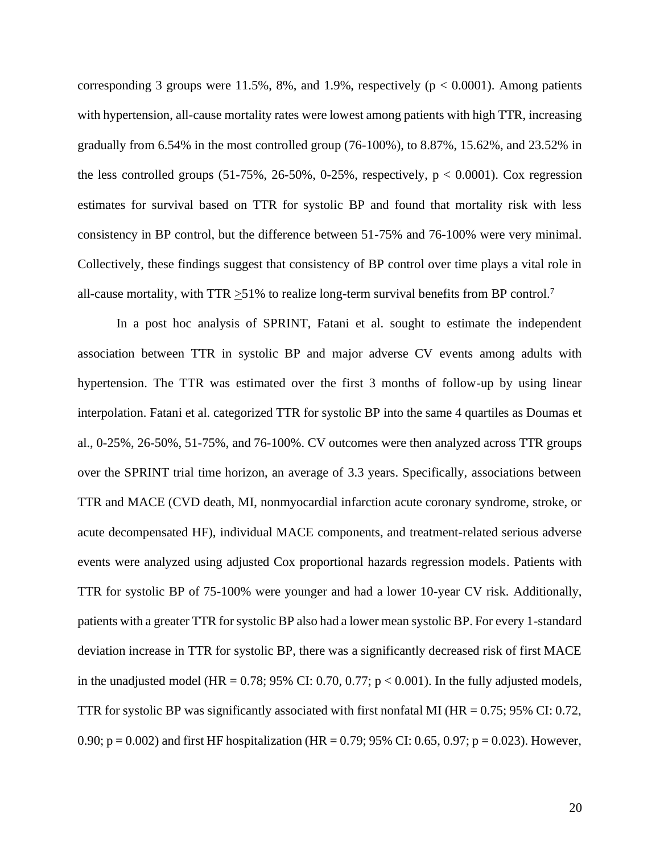corresponding 3 groups were 11.5%, 8%, and 1.9%, respectively ( $p < 0.0001$ ). Among patients with hypertension, all-cause mortality rates were lowest among patients with high TTR, increasing gradually from 6.54% in the most controlled group (76-100%), to 8.87%, 15.62%, and 23.52% in the less controlled groups  $(51-75\%, 26-50\%, 0-25\%,$  respectively,  $p < 0.0001$ ). Cox regression estimates for survival based on TTR for systolic BP and found that mortality risk with less consistency in BP control, but the difference between 51-75% and 76-100% were very minimal. Collectively, these findings suggest that consistency of BP control over time plays a vital role in all-cause mortality, with TTR  $\geq$ 51% to realize long-term survival benefits from BP control.<sup>7</sup>

In a post hoc analysis of SPRINT, Fatani et al. sought to estimate the independent association between TTR in systolic BP and major adverse CV events among adults with hypertension. The TTR was estimated over the first 3 months of follow-up by using linear interpolation. Fatani et al. categorized TTR for systolic BP into the same 4 quartiles as Doumas et al., 0-25%, 26-50%, 51-75%, and 76-100%. CV outcomes were then analyzed across TTR groups over the SPRINT trial time horizon, an average of 3.3 years. Specifically, associations between TTR and MACE (CVD death, MI, nonmyocardial infarction acute coronary syndrome, stroke, or acute decompensated HF), individual MACE components, and treatment-related serious adverse events were analyzed using adjusted Cox proportional hazards regression models. Patients with TTR for systolic BP of 75-100% were younger and had a lower 10-year CV risk. Additionally, patients with a greater TTR for systolic BP also had a lower mean systolic BP. For every 1-standard deviation increase in TTR for systolic BP, there was a significantly decreased risk of first MACE in the unadjusted model (HR =  $0.78$ ; 95% CI: 0.70, 0.77; p < 0.001). In the fully adjusted models, TTR for systolic BP was significantly associated with first nonfatal MI ( $HR = 0.75$ ; 95% CI: 0.72, 0.90;  $p = 0.002$ ) and first HF hospitalization (HR = 0.79; 95% CI: 0.65, 0.97;  $p = 0.023$ ). However,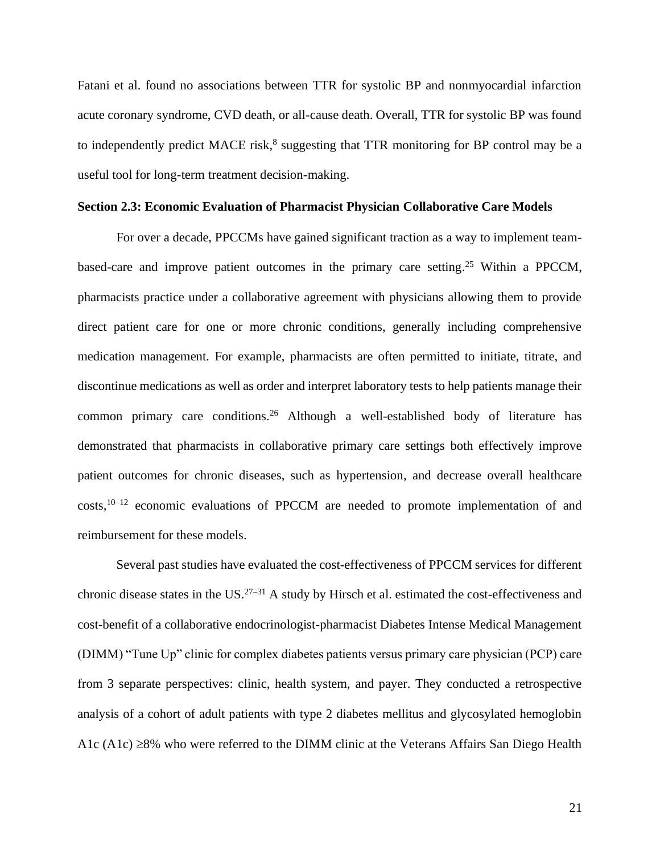Fatani et al. found no associations between TTR for systolic BP and nonmyocardial infarction acute coronary syndrome, CVD death, or all-cause death. Overall, TTR for systolic BP was found to independently predict MACE risk,<sup>8</sup> suggesting that TTR monitoring for BP control may be a useful tool for long-term treatment decision-making.

#### <span id="page-21-0"></span>**Section 2.3: Economic Evaluation of Pharmacist Physician Collaborative Care Models**

For over a decade, PPCCMs have gained significant traction as a way to implement teambased-care and improve patient outcomes in the primary care setting.<sup>25</sup> Within a PPCCM, pharmacists practice under a collaborative agreement with physicians allowing them to provide direct patient care for one or more chronic conditions, generally including comprehensive medication management. For example, pharmacists are often permitted to initiate, titrate, and discontinue medications as well as order and interpret laboratory tests to help patients manage their common primary care conditions.<sup>26</sup> Although a well-established body of literature has demonstrated that pharmacists in collaborative primary care settings both effectively improve patient outcomes for chronic diseases, such as hypertension, and decrease overall healthcare costs,<sup>10–12</sup> economic evaluations of PPCCM are needed to promote implementation of and reimbursement for these models.

Several past studies have evaluated the cost-effectiveness of PPCCM services for different chronic disease states in the US. $27-31$  A study by Hirsch et al. estimated the cost-effectiveness and cost-benefit of a collaborative endocrinologist-pharmacist Diabetes Intense Medical Management (DIMM) "Tune Up" clinic for complex diabetes patients versus primary care physician (PCP) care from 3 separate perspectives: clinic, health system, and payer. They conducted a retrospective analysis of a cohort of adult patients with type 2 diabetes mellitus and glycosylated hemoglobin A1c (A1c)  $\geq$ 8% who were referred to the DIMM clinic at the Veterans Affairs San Diego Health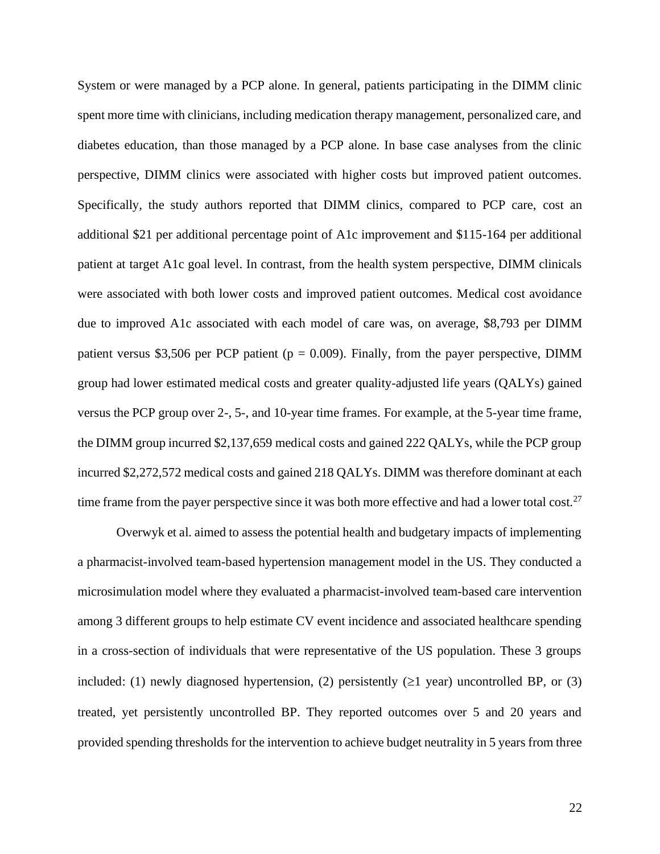System or were managed by a PCP alone. In general, patients participating in the DIMM clinic spent more time with clinicians, including medication therapy management, personalized care, and diabetes education, than those managed by a PCP alone. In base case analyses from the clinic perspective, DIMM clinics were associated with higher costs but improved patient outcomes. Specifically, the study authors reported that DIMM clinics, compared to PCP care, cost an additional \$21 per additional percentage point of A1c improvement and \$115-164 per additional patient at target A1c goal level. In contrast, from the health system perspective, DIMM clinicals were associated with both lower costs and improved patient outcomes. Medical cost avoidance due to improved A1c associated with each model of care was, on average, \$8,793 per DIMM patient versus \$3,506 per PCP patient ( $p = 0.009$ ). Finally, from the payer perspective, DIMM group had lower estimated medical costs and greater quality-adjusted life years (QALYs) gained versus the PCP group over 2-, 5-, and 10-year time frames. For example, at the 5-year time frame, the DIMM group incurred \$2,137,659 medical costs and gained 222 QALYs, while the PCP group incurred \$2,272,572 medical costs and gained 218 QALYs. DIMM was therefore dominant at each time frame from the payer perspective since it was both more effective and had a lower total cost.<sup>27</sup>

Overwyk et al. aimed to assess the potential health and budgetary impacts of implementing a pharmacist-involved team-based hypertension management model in the US. They conducted a microsimulation model where they evaluated a pharmacist-involved team-based care intervention among 3 different groups to help estimate CV event incidence and associated healthcare spending in a cross-section of individuals that were representative of the US population. These 3 groups included: (1) newly diagnosed hypertension, (2) persistently ( $\geq 1$  year) uncontrolled BP, or (3) treated, yet persistently uncontrolled BP. They reported outcomes over 5 and 20 years and provided spending thresholds for the intervention to achieve budget neutrality in 5 years from three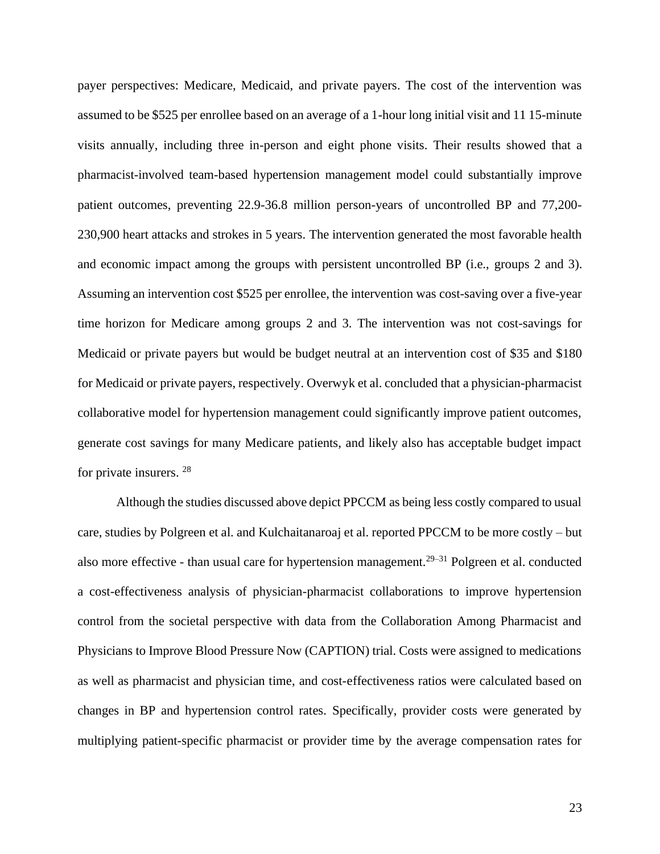payer perspectives: Medicare, Medicaid, and private payers. The cost of the intervention was assumed to be \$525 per enrollee based on an average of a 1-hour long initial visit and 11 15-minute visits annually, including three in-person and eight phone visits. Their results showed that a pharmacist-involved team-based hypertension management model could substantially improve patient outcomes, preventing 22.9-36.8 million person-years of uncontrolled BP and 77,200- 230,900 heart attacks and strokes in 5 years. The intervention generated the most favorable health and economic impact among the groups with persistent uncontrolled BP (i.e., groups 2 and 3). Assuming an intervention cost \$525 per enrollee, the intervention was cost-saving over a five-year time horizon for Medicare among groups 2 and 3. The intervention was not cost-savings for Medicaid or private payers but would be budget neutral at an intervention cost of \$35 and \$180 for Medicaid or private payers, respectively. Overwyk et al. concluded that a physician-pharmacist collaborative model for hypertension management could significantly improve patient outcomes, generate cost savings for many Medicare patients, and likely also has acceptable budget impact for private insurers. <sup>28</sup>

Although the studies discussed above depict PPCCM as being less costly compared to usual care, studies by Polgreen et al. and Kulchaitanaroaj et al. reported PPCCM to be more costly – but also more effective - than usual care for hypertension management.<sup>29–31</sup> Polgreen et al. conducted a cost-effectiveness analysis of physician-pharmacist collaborations to improve hypertension control from the societal perspective with data from the Collaboration Among Pharmacist and Physicians to Improve Blood Pressure Now (CAPTION) trial. Costs were assigned to medications as well as pharmacist and physician time, and cost-effectiveness ratios were calculated based on changes in BP and hypertension control rates. Specifically, provider costs were generated by multiplying patient-specific pharmacist or provider time by the average compensation rates for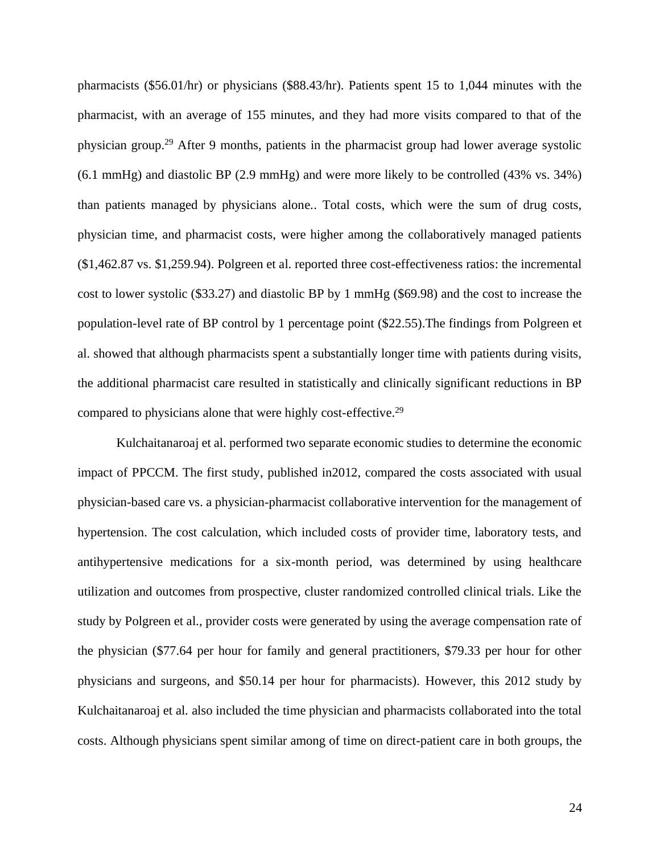pharmacists (\$56.01/hr) or physicians (\$88.43/hr). Patients spent 15 to 1,044 minutes with the pharmacist, with an average of 155 minutes, and they had more visits compared to that of the physician group.<sup>29</sup> After 9 months, patients in the pharmacist group had lower average systolic (6.1 mmHg) and diastolic BP (2.9 mmHg) and were more likely to be controlled (43% vs. 34%) than patients managed by physicians alone.. Total costs, which were the sum of drug costs, physician time, and pharmacist costs, were higher among the collaboratively managed patients (\$1,462.87 vs. \$1,259.94). Polgreen et al. reported three cost-effectiveness ratios: the incremental cost to lower systolic (\$33.27) and diastolic BP by 1 mmHg (\$69.98) and the cost to increase the population-level rate of BP control by 1 percentage point (\$22.55).The findings from Polgreen et al. showed that although pharmacists spent a substantially longer time with patients during visits, the additional pharmacist care resulted in statistically and clinically significant reductions in BP compared to physicians alone that were highly cost-effective.<sup>29</sup>

Kulchaitanaroaj et al. performed two separate economic studies to determine the economic impact of PPCCM. The first study, published in2012, compared the costs associated with usual physician-based care vs. a physician-pharmacist collaborative intervention for the management of hypertension. The cost calculation, which included costs of provider time, laboratory tests, and antihypertensive medications for a six-month period, was determined by using healthcare utilization and outcomes from prospective, cluster randomized controlled clinical trials. Like the study by Polgreen et al., provider costs were generated by using the average compensation rate of the physician (\$77.64 per hour for family and general practitioners, \$79.33 per hour for other physicians and surgeons, and \$50.14 per hour for pharmacists). However, this 2012 study by Kulchaitanaroaj et al. also included the time physician and pharmacists collaborated into the total costs. Although physicians spent similar among of time on direct-patient care in both groups, the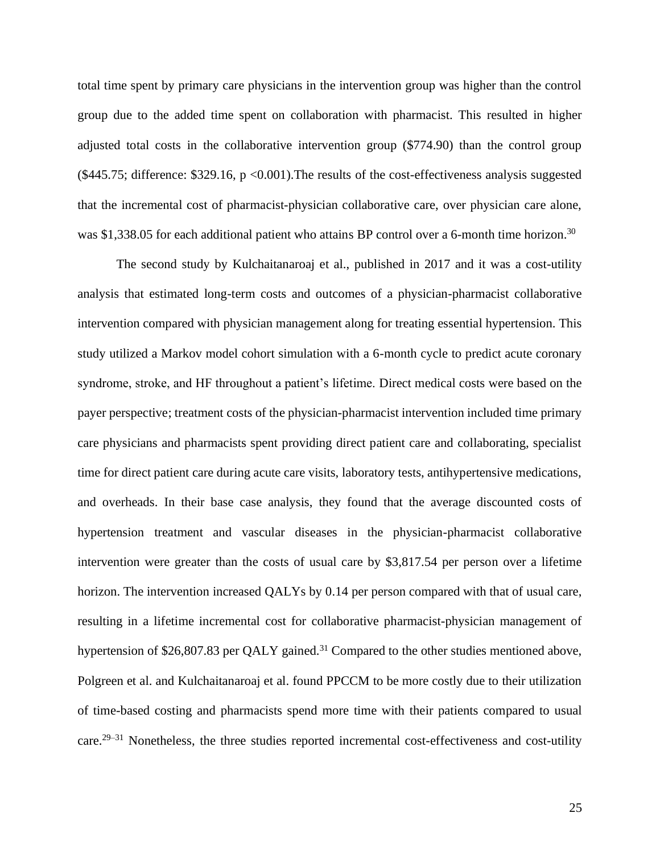total time spent by primary care physicians in the intervention group was higher than the control group due to the added time spent on collaboration with pharmacist. This resulted in higher adjusted total costs in the collaborative intervention group (\$774.90) than the control group  $($445.75; difference: $329.16, p < 0.001).$  The results of the cost-effectiveness analysis suggested that the incremental cost of pharmacist-physician collaborative care, over physician care alone, was \$1,338.05 for each additional patient who attains BP control over a 6-month time horizon.<sup>30</sup>

The second study by Kulchaitanaroaj et al., published in 2017 and it was a cost-utility analysis that estimated long-term costs and outcomes of a physician-pharmacist collaborative intervention compared with physician management along for treating essential hypertension. This study utilized a Markov model cohort simulation with a 6-month cycle to predict acute coronary syndrome, stroke, and HF throughout a patient's lifetime. Direct medical costs were based on the payer perspective; treatment costs of the physician-pharmacist intervention included time primary care physicians and pharmacists spent providing direct patient care and collaborating, specialist time for direct patient care during acute care visits, laboratory tests, antihypertensive medications, and overheads. In their base case analysis, they found that the average discounted costs of hypertension treatment and vascular diseases in the physician-pharmacist collaborative intervention were greater than the costs of usual care by \$3,817.54 per person over a lifetime horizon. The intervention increased QALYs by 0.14 per person compared with that of usual care, resulting in a lifetime incremental cost for collaborative pharmacist-physician management of hypertension of \$26,807.83 per QALY gained.<sup>31</sup> Compared to the other studies mentioned above, Polgreen et al. and Kulchaitanaroaj et al. found PPCCM to be more costly due to their utilization of time-based costing and pharmacists spend more time with their patients compared to usual care.<sup>29–31</sup> Nonetheless, the three studies reported incremental cost-effectiveness and cost-utility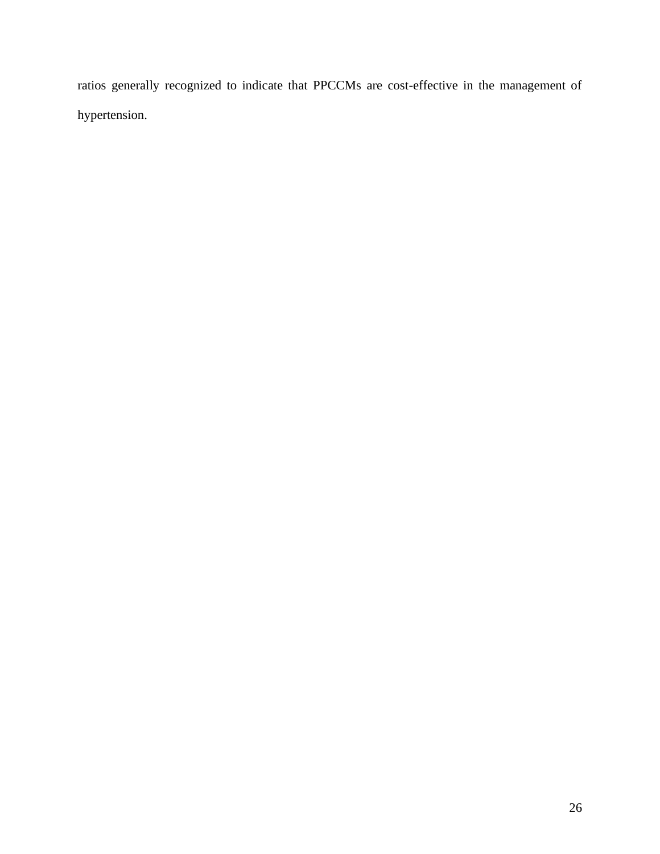ratios generally recognized to indicate that PPCCMs are cost-effective in the management of hypertension.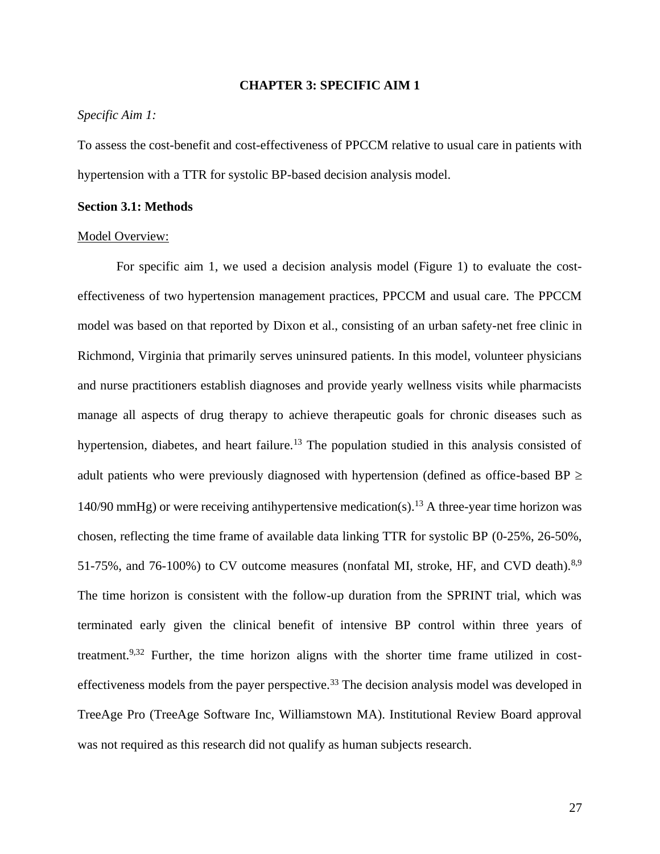#### **CHAPTER 3: SPECIFIC AIM 1**

#### <span id="page-27-0"></span>*Specific Aim 1:*

To assess the cost-benefit and cost-effectiveness of PPCCM relative to usual care in patients with hypertension with a TTR for systolic BP-based decision analysis model.

#### <span id="page-27-1"></span>**Section 3.1: Methods**

#### Model Overview:

For specific aim 1, we used a decision analysis model (Figure 1) to evaluate the costeffectiveness of two hypertension management practices, PPCCM and usual care. The PPCCM model was based on that reported by Dixon et al., consisting of an urban safety-net free clinic in Richmond, Virginia that primarily serves uninsured patients. In this model, volunteer physicians and nurse practitioners establish diagnoses and provide yearly wellness visits while pharmacists manage all aspects of drug therapy to achieve therapeutic goals for chronic diseases such as hypertension, diabetes, and heart failure.<sup>13</sup> The population studied in this analysis consisted of adult patients who were previously diagnosed with hypertension (defined as office-based BP  $\geq$ 140/90 mmHg) or were receiving antihypertensive medication(s).<sup>13</sup> A three-year time horizon was chosen, reflecting the time frame of available data linking TTR for systolic BP (0-25%, 26-50%, 51-75%, and 76-100%) to CV outcome measures (nonfatal MI, stroke, HF, and CVD death).<sup>8,9</sup> The time horizon is consistent with the follow-up duration from the SPRINT trial, which was terminated early given the clinical benefit of intensive BP control within three years of treatment.9,32 Further, the time horizon aligns with the shorter time frame utilized in costeffectiveness models from the payer perspective.<sup>33</sup> The decision analysis model was developed in TreeAge Pro (TreeAge Software Inc, Williamstown MA). Institutional Review Board approval was not required as this research did not qualify as human subjects research.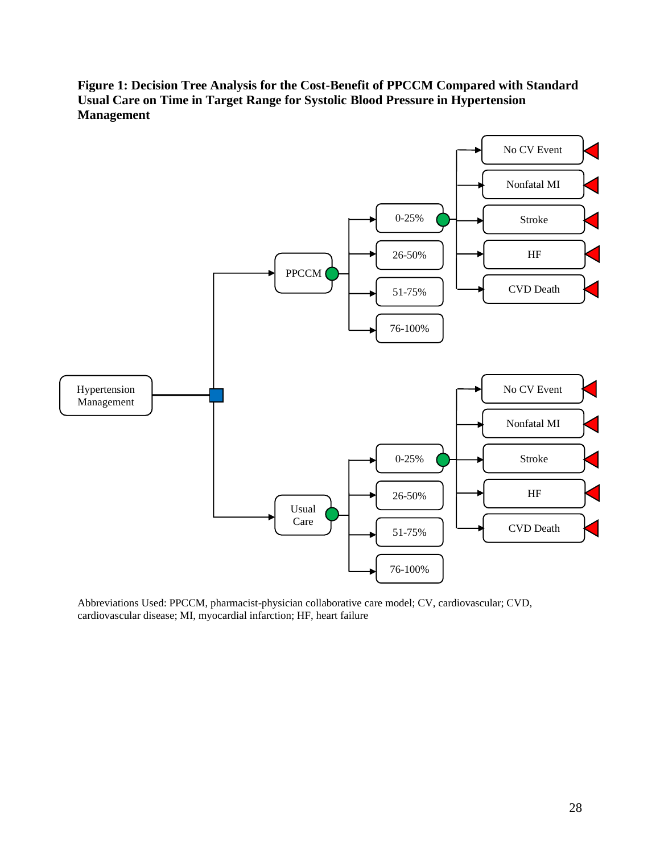<span id="page-28-0"></span>**Figure 1: Decision Tree Analysis for the Cost-Benefit of PPCCM Compared with Standard Usual Care on Time in Target Range for Systolic Blood Pressure in Hypertension Management**



Abbreviations Used: PPCCM, pharmacist-physician collaborative care model; CV, cardiovascular; CVD, cardiovascular disease; MI, myocardial infarction; HF, heart failure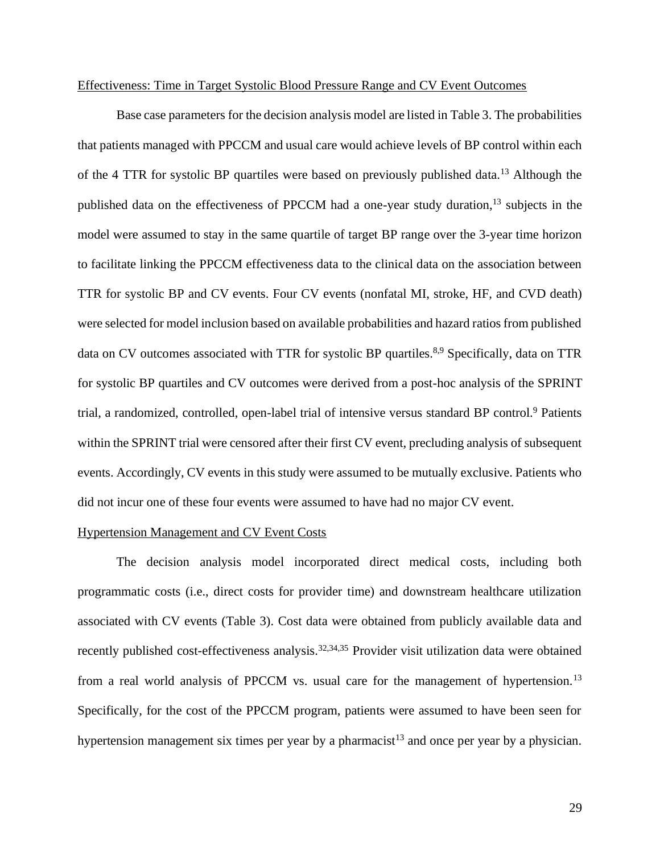#### Effectiveness: Time in Target Systolic Blood Pressure Range and CV Event Outcomes

Base case parameters for the decision analysis model are listed in Table 3. The probabilities that patients managed with PPCCM and usual care would achieve levels of BP control within each of the 4 TTR for systolic BP quartiles were based on previously published data.<sup>13</sup> Although the published data on the effectiveness of PPCCM had a one-year study duration,<sup>13</sup> subjects in the model were assumed to stay in the same quartile of target BP range over the 3-year time horizon to facilitate linking the PPCCM effectiveness data to the clinical data on the association between TTR for systolic BP and CV events. Four CV events (nonfatal MI, stroke, HF, and CVD death) were selected for model inclusion based on available probabilities and hazard ratios from published data on CV outcomes associated with TTR for systolic BP quartiles.<sup>8,9</sup> Specifically, data on TTR for systolic BP quartiles and CV outcomes were derived from a post-hoc analysis of the SPRINT trial, a randomized, controlled, open-label trial of intensive versus standard BP control.<sup>9</sup> Patients within the SPRINT trial were censored after their first CV event, precluding analysis of subsequent events. Accordingly, CV events in this study were assumed to be mutually exclusive. Patients who did not incur one of these four events were assumed to have had no major CV event.

### Hypertension Management and CV Event Costs

The decision analysis model incorporated direct medical costs, including both programmatic costs (i.e., direct costs for provider time) and downstream healthcare utilization associated with CV events (Table 3). Cost data were obtained from publicly available data and recently published cost-effectiveness analysis.<sup>32,34,35</sup> Provider visit utilization data were obtained from a real world analysis of PPCCM vs. usual care for the management of hypertension.<sup>13</sup> Specifically, for the cost of the PPCCM program, patients were assumed to have been seen for hypertension management six times per year by a pharmacist<sup>13</sup> and once per year by a physician.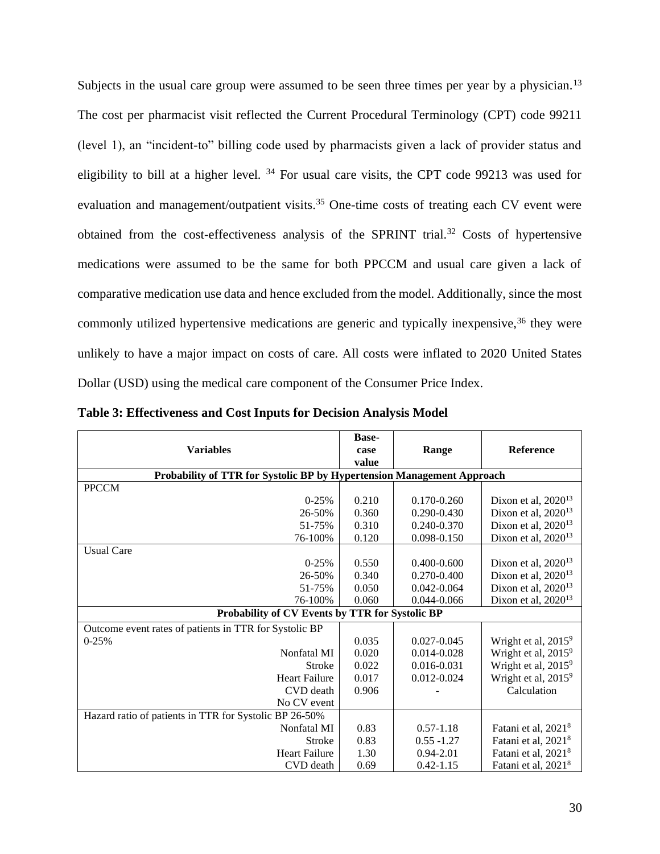Subjects in the usual care group were assumed to be seen three times per year by a physician.<sup>13</sup> The cost per pharmacist visit reflected the Current Procedural Terminology (CPT) code 99211 (level 1), an "incident-to" billing code used by pharmacists given a lack of provider status and eligibility to bill at a higher level.  $34$  For usual care visits, the CPT code 99213 was used for evaluation and management/outpatient visits.<sup>35</sup> One-time costs of treating each CV event were obtained from the cost-effectiveness analysis of the SPRINT trial.<sup>32</sup> Costs of hypertensive medications were assumed to be the same for both PPCCM and usual care given a lack of comparative medication use data and hence excluded from the model. Additionally, since the most commonly utilized hypertensive medications are generic and typically inexpensive,<sup>36</sup> they were unlikely to have a major impact on costs of care. All costs were inflated to 2020 United States Dollar (USD) using the medical care component of the Consumer Price Index.

|                                                                        | <b>Base-</b> |                 |                                 |
|------------------------------------------------------------------------|--------------|-----------------|---------------------------------|
| <b>Variables</b>                                                       | case         | Range           | <b>Reference</b>                |
|                                                                        | value        |                 |                                 |
| Probability of TTR for Systolic BP by Hypertension Management Approach |              |                 |                                 |
| <b>PPCCM</b>                                                           |              |                 |                                 |
| $0-25%$                                                                | 0.210        | 0.170-0.260     | Dixon et al, $2020^{13}$        |
| 26-50%                                                                 | 0.360        | $0.290 - 0.430$ | Dixon et al, $2020^{13}$        |
| 51-75%                                                                 | 0.310        | 0.240-0.370     | Dixon et al, 2020 <sup>13</sup> |
| 76-100%                                                                | 0.120        | 0.098-0.150     | Dixon et al, $2020^{13}$        |
| <b>Usual Care</b>                                                      |              |                 |                                 |
| $0-25%$                                                                | 0.550        | $0.400 - 0.600$ | Dixon et al, $2020^{13}$        |
| 26-50%                                                                 | 0.340        | 0.270-0.400     | Dixon et al, $2020^{13}$        |
| 51-75%                                                                 | 0.050        | $0.042 - 0.064$ | Dixon et al, 2020 <sup>13</sup> |
| 76-100%                                                                | 0.060        | 0.044-0.066     | Dixon et al, $2020^{13}$        |
| Probability of CV Events by TTR for Systolic BP                        |              |                 |                                 |
| Outcome event rates of patients in TTR for Systolic BP                 |              |                 |                                 |
| $0-25%$                                                                | 0.035        | $0.027 - 0.045$ | Wright et al, 2015 <sup>9</sup> |
| Nonfatal MI                                                            | 0.020        | $0.014 - 0.028$ | Wright et al, 2015 <sup>9</sup> |
| <b>Stroke</b>                                                          | 0.022        | 0.016-0.031     | Wright et al, 2015 <sup>9</sup> |
| <b>Heart Failure</b>                                                   | 0.017        | 0.012-0.024     | Wright et al, 2015 <sup>9</sup> |
| CVD death                                                              | 0.906        |                 | Calculation                     |
| No CV event                                                            |              |                 |                                 |
| Hazard ratio of patients in TTR for Systolic BP 26-50%                 |              |                 |                                 |
| Nonfatal MI                                                            | 0.83         | $0.57 - 1.18$   | Fatani et al, 2021 <sup>8</sup> |
| <b>Stroke</b>                                                          | 0.83         | $0.55 - 1.27$   | Fatani et al, 2021 <sup>8</sup> |
| <b>Heart Failure</b>                                                   | 1.30         | $0.94 - 2.01$   | Fatani et al, 2021 <sup>8</sup> |
| CVD death                                                              | 0.69         | $0.42 - 1.15$   | Fatani et al, 2021 <sup>8</sup> |

<span id="page-30-0"></span>**Table 3: Effectiveness and Cost Inputs for Decision Analysis Model**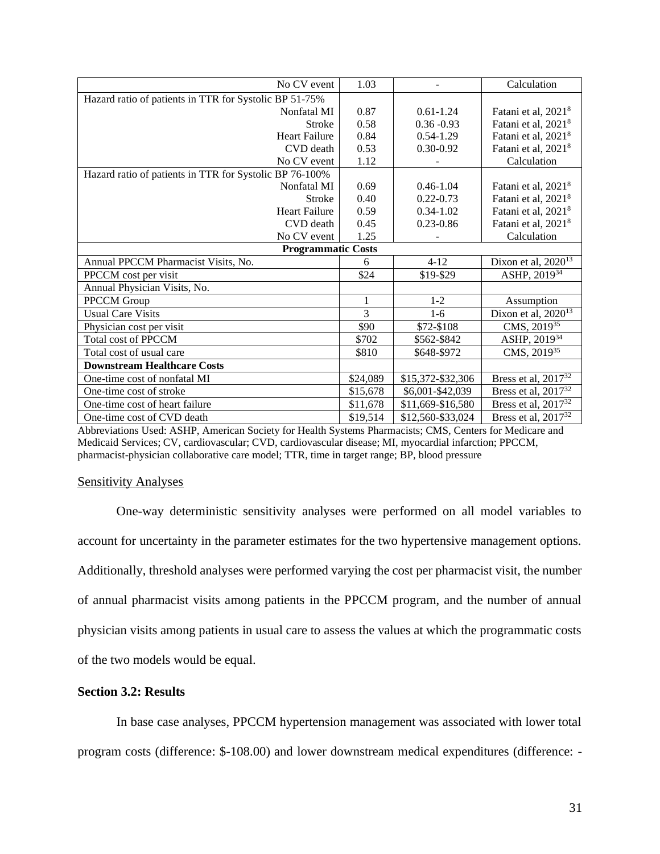| No CV event                                             | 1.03     |                   | Calculation                         |
|---------------------------------------------------------|----------|-------------------|-------------------------------------|
| Hazard ratio of patients in TTR for Systolic BP 51-75%  |          |                   |                                     |
| Nonfatal MI                                             | 0.87     | $0.61 - 1.24$     | Fatani et al, 2021 <sup>8</sup>     |
| <b>Stroke</b>                                           | 0.58     | $0.36 - 0.93$     | Fatani et al, 2021 <sup>8</sup>     |
| <b>Heart Failure</b>                                    | 0.84     | $0.54 - 1.29$     | Fatani et al, 2021 <sup>8</sup>     |
| CVD death                                               | 0.53     | $0.30 - 0.92$     | Fatani et al, 2021 <sup>8</sup>     |
| No CV event                                             | 1.12     |                   | Calculation                         |
| Hazard ratio of patients in TTR for Systolic BP 76-100% |          |                   |                                     |
| Nonfatal MI                                             | 0.69     | $0.46 - 1.04$     | Fatani et al, 2021 <sup>8</sup>     |
| <b>Stroke</b>                                           | 0.40     | $0.22 - 0.73$     | Fatani et al, 2021 <sup>8</sup>     |
| <b>Heart Failure</b>                                    | 0.59     | $0.34 - 1.02$     | Fatani et al, 2021 <sup>8</sup>     |
| CVD death                                               | 0.45     | $0.23 - 0.86$     | Fatani et al, 2021 <sup>8</sup>     |
| No CV event                                             | 1.25     |                   | Calculation                         |
| <b>Programmatic Costs</b>                               |          |                   |                                     |
| Annual PPCCM Pharmacist Visits, No.                     | 6        | $4 - 12$          | Dixon et al, $2020^{13}$            |
| PPCCM cost per visit                                    | \$24     | \$19-\$29         | ASHP, 201934                        |
| Annual Physician Visits, No.                            |          |                   |                                     |
| PPCCM Group                                             | 1        | $1 - 2$           | Assumption                          |
| <b>Usual Care Visits</b>                                | 3        | $1 - 6$           | Dixon et al, $202\overline{0^{13}}$ |
| Physician cost per visit                                | \$90     | \$72-\$108        | CMS, 201935                         |
| Total cost of PPCCM                                     | \$702    | \$562-\$842       | ASHP, 201934                        |
| Total cost of usual care                                | \$810    | \$648-\$972       | CMS, 201935                         |
| <b>Downstream Healthcare Costs</b>                      |          |                   |                                     |
| One-time cost of nonfatal MI                            | \$24,089 | \$15,372-\$32,306 | Bress et al, $2017^{32}$            |
| One-time cost of stroke                                 | \$15,678 | \$6,001-\$42,039  | Bress et al, $2017^{32}$            |
| One-time cost of heart failure                          | \$11,678 | \$11,669-\$16,580 | Bress et al, $2017^{32}$            |
| One-time cost of CVD death                              | \$19,514 | \$12,560-\$33,024 | Bress et al, 2017 <sup>32</sup>     |

Abbreviations Used: ASHP, American Society for Health Systems Pharmacists; CMS, Centers for Medicare and Medicaid Services; CV, cardiovascular; CVD, cardiovascular disease; MI, myocardial infarction; PPCCM, pharmacist-physician collaborative care model; TTR, time in target range; BP, blood pressure

#### Sensitivity Analyses

One-way deterministic sensitivity analyses were performed on all model variables to account for uncertainty in the parameter estimates for the two hypertensive management options. Additionally, threshold analyses were performed varying the cost per pharmacist visit, the number of annual pharmacist visits among patients in the PPCCM program, and the number of annual physician visits among patients in usual care to assess the values at which the programmatic costs of the two models would be equal.

### <span id="page-31-0"></span>**Section 3.2: Results**

In base case analyses, PPCCM hypertension management was associated with lower total program costs (difference: \$-108.00) and lower downstream medical expenditures (difference: -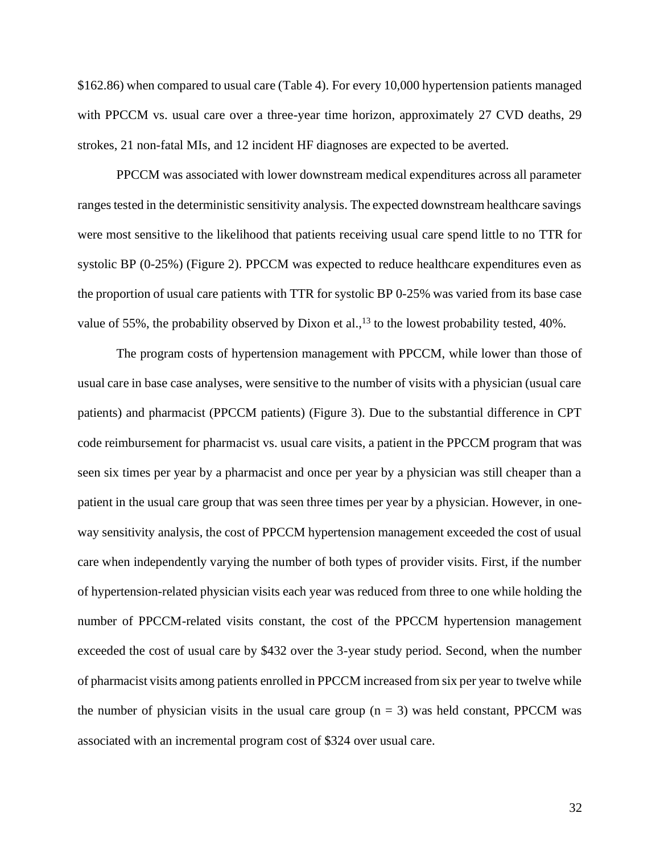\$162.86) when compared to usual care (Table 4). For every 10,000 hypertension patients managed with PPCCM vs. usual care over a three-year time horizon, approximately 27 CVD deaths, 29 strokes, 21 non-fatal MIs, and 12 incident HF diagnoses are expected to be averted.

PPCCM was associated with lower downstream medical expenditures across all parameter ranges tested in the deterministic sensitivity analysis. The expected downstream healthcare savings were most sensitive to the likelihood that patients receiving usual care spend little to no TTR for systolic BP (0-25%) (Figure 2). PPCCM was expected to reduce healthcare expenditures even as the proportion of usual care patients with TTR for systolic BP 0-25% was varied from its base case value of 55%, the probability observed by Dixon et al.,<sup>13</sup> to the lowest probability tested, 40%.

The program costs of hypertension management with PPCCM, while lower than those of usual care in base case analyses, were sensitive to the number of visits with a physician (usual care patients) and pharmacist (PPCCM patients) (Figure 3). Due to the substantial difference in CPT code reimbursement for pharmacist vs. usual care visits, a patient in the PPCCM program that was seen six times per year by a pharmacist and once per year by a physician was still cheaper than a patient in the usual care group that was seen three times per year by a physician. However, in oneway sensitivity analysis, the cost of PPCCM hypertension management exceeded the cost of usual care when independently varying the number of both types of provider visits. First, if the number of hypertension-related physician visits each year was reduced from three to one while holding the number of PPCCM-related visits constant, the cost of the PPCCM hypertension management exceeded the cost of usual care by \$432 over the 3-year study period. Second, when the number of pharmacist visits among patients enrolled in PPCCM increased from six per year to twelve while the number of physician visits in the usual care group  $(n = 3)$  was held constant, PPCCM was associated with an incremental program cost of \$324 over usual care.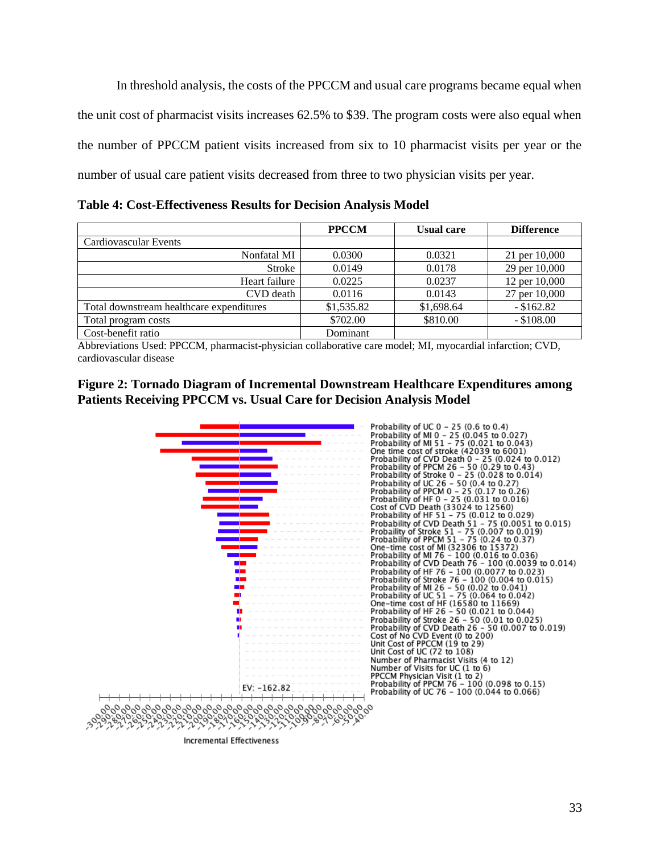In threshold analysis, the costs of the PPCCM and usual care programs became equal when the unit cost of pharmacist visits increases 62.5% to \$39. The program costs were also equal when the number of PPCCM patient visits increased from six to 10 pharmacist visits per year or the number of usual care patient visits decreased from three to two physician visits per year.

<span id="page-33-0"></span>**Table 4: Cost-Effectiveness Results for Decision Analysis Model**

|                                          | <b>PPCCM</b> | <b>Usual care</b> | <b>Difference</b> |
|------------------------------------------|--------------|-------------------|-------------------|
| Cardiovascular Events                    |              |                   |                   |
| Nonfatal MI                              | 0.0300       | 0.0321            | 21 per 10,000     |
| Stroke                                   | 0.0149       | 0.0178            | 29 per 10,000     |
| Heart failure                            | 0.0225       | 0.0237            | 12 per 10,000     |
| CVD death                                | 0.0116       | 0.0143            | 27 per 10,000     |
| Total downstream healthcare expenditures | \$1,535.82   | \$1,698.64        | $-$ \$162.82      |
| Total program costs                      | \$702.00     | \$810.00          | $-$ \$108.00      |
| Cost-benefit ratio                       | Dominant     |                   |                   |

Abbreviations Used: PPCCM, pharmacist-physician collaborative care model; MI, myocardial infarction; CVD, cardiovascular disease

# <span id="page-33-1"></span>**Figure 2: Tornado Diagram of Incremental Downstream Healthcare Expenditures among Patients Receiving PPCCM vs. Usual Care for Decision Analysis Model**



<span id="page-33-2"></span>**Incremental Effectiveness**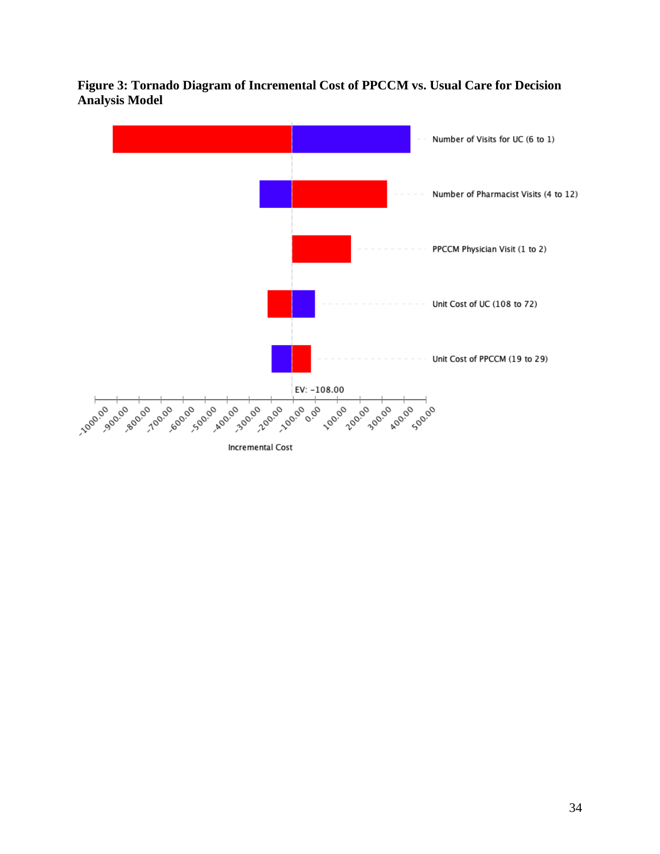

**Figure 3: Tornado Diagram of Incremental Cost of PPCCM vs. Usual Care for Decision Analysis Model**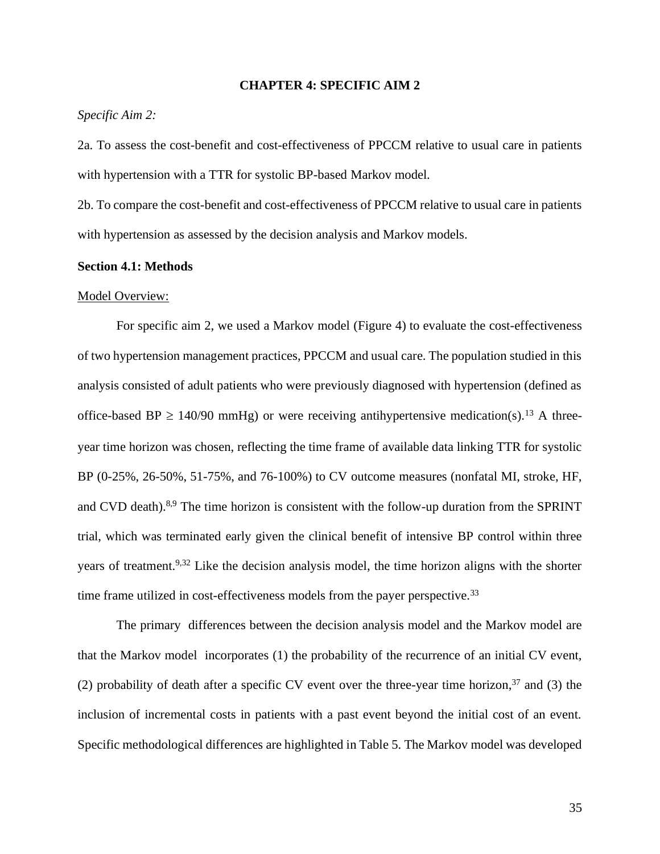#### **CHAPTER 4: SPECIFIC AIM 2**

#### <span id="page-35-0"></span>*Specific Aim 2:*

2a. To assess the cost-benefit and cost-effectiveness of PPCCM relative to usual care in patients with hypertension with a TTR for systolic BP-based Markov model.

2b. To compare the cost-benefit and cost-effectiveness of PPCCM relative to usual care in patients with hypertension as assessed by the decision analysis and Markov models.

#### <span id="page-35-1"></span>**Section 4.1: Methods**

#### Model Overview:

For specific aim 2, we used a Markov model (Figure 4) to evaluate the cost-effectiveness of two hypertension management practices, PPCCM and usual care. The population studied in this analysis consisted of adult patients who were previously diagnosed with hypertension (defined as office-based BP  $\geq$  140/90 mmHg) or were receiving antihypertensive medication(s).<sup>13</sup> A threeyear time horizon was chosen, reflecting the time frame of available data linking TTR for systolic BP (0-25%, 26-50%, 51-75%, and 76-100%) to CV outcome measures (nonfatal MI, stroke, HF, and CVD death).<sup>8,9</sup> The time horizon is consistent with the follow-up duration from the SPRINT trial, which was terminated early given the clinical benefit of intensive BP control within three years of treatment.<sup>9,32</sup> Like the decision analysis model, the time horizon aligns with the shorter time frame utilized in cost-effectiveness models from the payer perspective.<sup>33</sup>

The primary differences between the decision analysis model and the Markov model are that the Markov model incorporates (1) the probability of the recurrence of an initial CV event, (2) probability of death after a specific CV event over the three-year time horizon,  $37$  and (3) the inclusion of incremental costs in patients with a past event beyond the initial cost of an event. Specific methodological differences are highlighted in Table 5. The Markov model was developed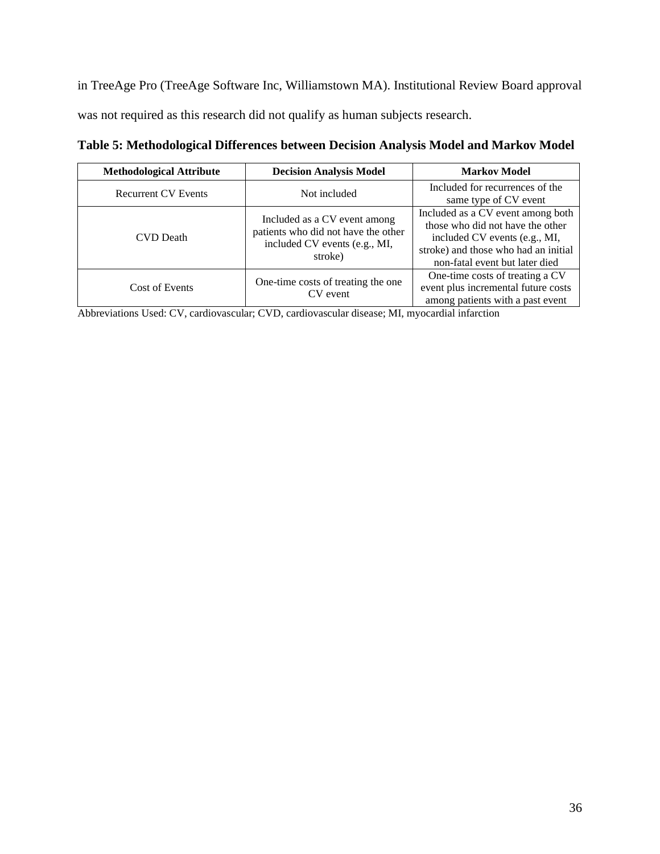<span id="page-36-0"></span>in TreeAge Pro (TreeAge Software Inc, Williamstown MA). Institutional Review Board approval was not required as this research did not qualify as human subjects research.

| <b>Methodological Attribute</b> | <b>Decision Analysis Model</b>                                                                                  | <b>Markov Model</b>                                                                                                                                                              |
|---------------------------------|-----------------------------------------------------------------------------------------------------------------|----------------------------------------------------------------------------------------------------------------------------------------------------------------------------------|
| <b>Recurrent CV Events</b>      | Not included                                                                                                    | Included for recurrences of the<br>same type of CV event                                                                                                                         |
| CVD Death                       | Included as a CV event among<br>patients who did not have the other<br>included CV events (e.g., MI,<br>stroke) | Included as a CV event among both<br>those who did not have the other<br>included CV events (e.g., MI,<br>stroke) and those who had an initial<br>non-fatal event but later died |
| Cost of Events                  | One-time costs of treating the one<br>CV event                                                                  | One-time costs of treating a CV<br>event plus incremental future costs<br>among patients with a past event                                                                       |

**Table 5: Methodological Differences between Decision Analysis Model and Markov Model**

Abbreviations Used: CV, cardiovascular; CVD, cardiovascular disease; MI, myocardial infarction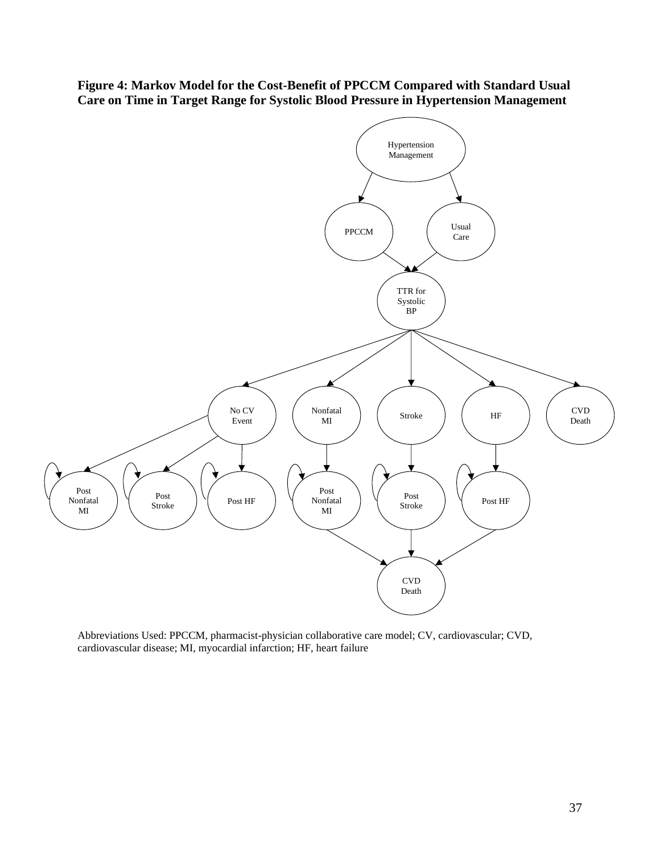<span id="page-37-0"></span>**Figure 4: Markov Model for the Cost-Benefit of PPCCM Compared with Standard Usual Care on Time in Target Range for Systolic Blood Pressure in Hypertension Management**



Abbreviations Used: PPCCM, pharmacist-physician collaborative care model; CV, cardiovascular; CVD, cardiovascular disease; MI, myocardial infarction; HF, heart failure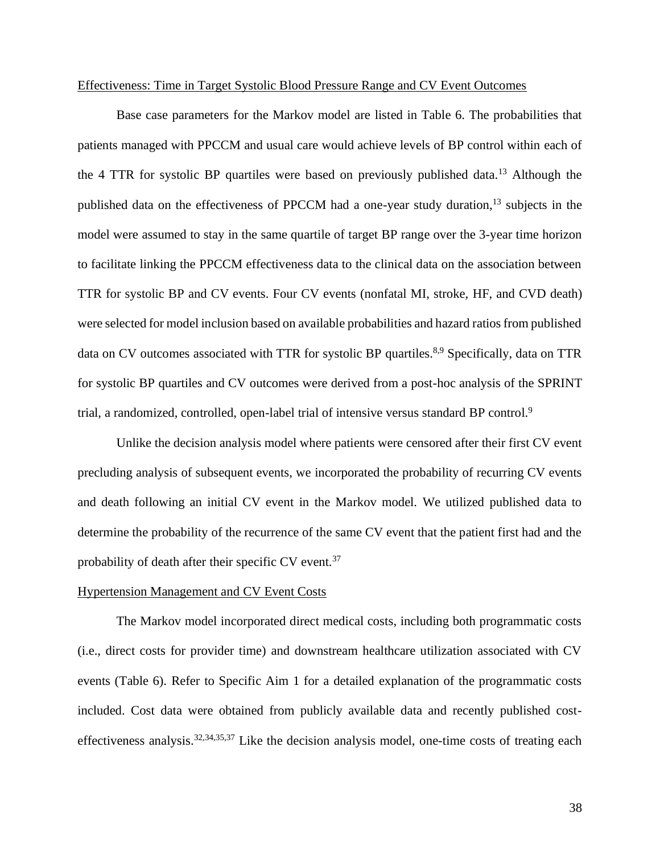#### Effectiveness: Time in Target Systolic Blood Pressure Range and CV Event Outcomes

Base case parameters for the Markov model are listed in Table 6. The probabilities that patients managed with PPCCM and usual care would achieve levels of BP control within each of the 4 TTR for systolic BP quartiles were based on previously published data.<sup>13</sup> Although the published data on the effectiveness of PPCCM had a one-year study duration,<sup>13</sup> subjects in the model were assumed to stay in the same quartile of target BP range over the 3-year time horizon to facilitate linking the PPCCM effectiveness data to the clinical data on the association between TTR for systolic BP and CV events. Four CV events (nonfatal MI, stroke, HF, and CVD death) were selected for model inclusion based on available probabilities and hazard ratios from published data on CV outcomes associated with TTR for systolic BP quartiles.<sup>8,9</sup> Specifically, data on TTR for systolic BP quartiles and CV outcomes were derived from a post-hoc analysis of the SPRINT trial, a randomized, controlled, open-label trial of intensive versus standard BP control.<sup>9</sup>

Unlike the decision analysis model where patients were censored after their first CV event precluding analysis of subsequent events, we incorporated the probability of recurring CV events and death following an initial CV event in the Markov model. We utilized published data to determine the probability of the recurrence of the same CV event that the patient first had and the probability of death after their specific CV event.<sup>37</sup>

## Hypertension Management and CV Event Costs

The Markov model incorporated direct medical costs, including both programmatic costs (i.e., direct costs for provider time) and downstream healthcare utilization associated with CV events (Table 6). Refer to Specific Aim 1 for a detailed explanation of the programmatic costs included. Cost data were obtained from publicly available data and recently published costeffectiveness analysis.32,34,35,37 Like the decision analysis model, one-time costs of treating each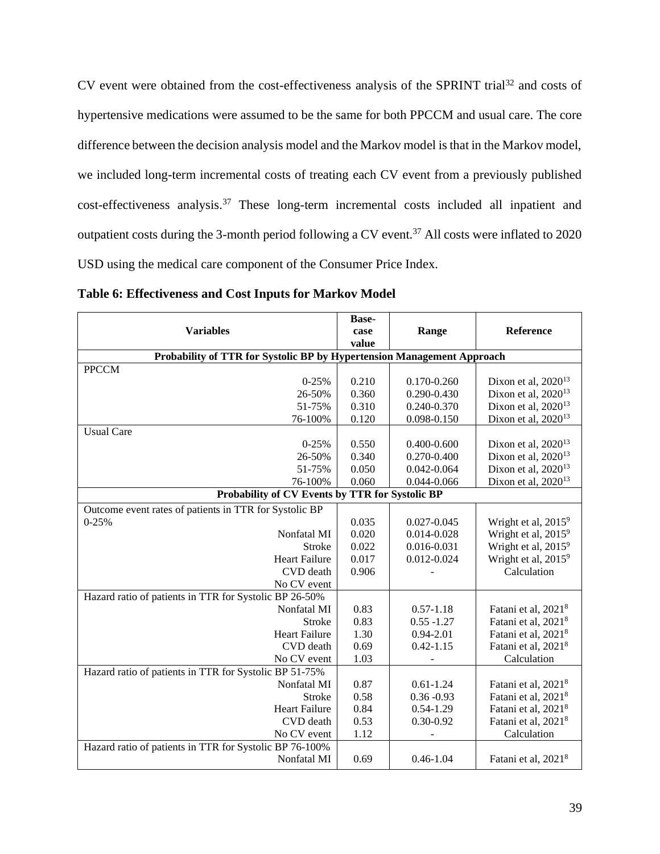CV event were obtained from the cost-effectiveness analysis of the SPRINT trial<sup>32</sup> and costs of hypertensive medications were assumed to be the same for both PPCCM and usual care. The core difference between the decision analysis model and the Markov model is that in the Markov model, we included long-term incremental costs of treating each CV event from a previously published cost-effectiveness analysis.<sup>37</sup> These long-term incremental costs included all inpatient and outpatient costs during the 3-month period following a CV event.<sup>37</sup> All costs were inflated to 2020 USD using the medical care component of the Consumer Price Index.

|                                                                        | Base- |                 |                                 |
|------------------------------------------------------------------------|-------|-----------------|---------------------------------|
| <b>Variables</b>                                                       | case  | Range           | Reference                       |
|                                                                        | value |                 |                                 |
| Probability of TTR for Systolic BP by Hypertension Management Approach |       |                 |                                 |
| <b>PPCCM</b>                                                           |       |                 |                                 |
| $0 - 25%$                                                              | 0.210 | 0.170-0.260     | Dixon et al, $2020^{13}$        |
| 26-50%                                                                 | 0.360 | 0.290-0.430     | Dixon et al, $2020^{13}$        |
| 51-75%                                                                 | 0.310 | 0.240-0.370     | Dixon et al, 2020 <sup>13</sup> |
| 76-100%                                                                | 0.120 | 0.098-0.150     | Dixon et al, 2020 <sup>13</sup> |
| <b>Usual Care</b>                                                      |       |                 |                                 |
| $0 - 25%$                                                              | 0.550 | $0.400 - 0.600$ | Dixon et al, $2020^{13}$        |
| 26-50%                                                                 | 0.340 | 0.270-0.400     | Dixon et al, $2020^{13}$        |
| 51-75%                                                                 | 0.050 | $0.042 - 0.064$ | Dixon et al, 2020 <sup>13</sup> |
| 76-100%                                                                | 0.060 | 0.044-0.066     | Dixon et al, 2020 <sup>13</sup> |
| Probability of CV Events by TTR for Systolic BP                        |       |                 |                                 |
| Outcome event rates of patients in TTR for Systolic BP                 |       |                 |                                 |
| $0 - 25%$                                                              | 0.035 | $0.027 - 0.045$ | Wright et al, 2015 <sup>9</sup> |
| Nonfatal MI                                                            | 0.020 | 0.014-0.028     | Wright et al, 2015 <sup>9</sup> |
| Stroke                                                                 | 0.022 | 0.016-0.031     | Wright et al, 2015 <sup>9</sup> |
| <b>Heart Failure</b>                                                   | 0.017 | 0.012-0.024     | Wright et al, 2015 <sup>9</sup> |
| CVD death                                                              | 0.906 |                 | Calculation                     |
| No CV event                                                            |       |                 |                                 |
| Hazard ratio of patients in TTR for Systolic BP 26-50%                 |       |                 |                                 |
| Nonfatal MI                                                            | 0.83  | $0.57 - 1.18$   | Fatani et al, 2021 <sup>8</sup> |
| Stroke                                                                 | 0.83  | $0.55 - 1.27$   | Fatani et al, 2021 <sup>8</sup> |
| <b>Heart Failure</b>                                                   | 1.30  | $0.94 - 2.01$   | Fatani et al, 2021 <sup>8</sup> |
| CVD death                                                              | 0.69  | $0.42 - 1.15$   | Fatani et al, 2021 <sup>8</sup> |
| No CV event                                                            | 1.03  |                 | Calculation                     |
| Hazard ratio of patients in TTR for Systolic BP 51-75%                 |       |                 |                                 |
| Nonfatal MI                                                            | 0.87  | $0.61 - 1.24$   | Fatani et al, 2021 <sup>8</sup> |
| <b>Stroke</b>                                                          | 0.58  | $0.36 - 0.93$   | Fatani et al, 2021 <sup>8</sup> |
| <b>Heart Failure</b>                                                   | 0.84  | $0.54 - 1.29$   | Fatani et al, 2021 <sup>8</sup> |
| CVD death                                                              | 0.53  | $0.30 - 0.92$   | Fatani et al, 2021 <sup>8</sup> |
| No CV event                                                            | 1.12  |                 | Calculation                     |
| Hazard ratio of patients in TTR for Systolic BP 76-100%                |       |                 |                                 |
| Nonfatal MI                                                            | 0.69  | $0.46 - 1.04$   | Fatani et al, 2021 <sup>8</sup> |

<span id="page-39-0"></span>**Table 6: Effectiveness and Cost Inputs for Markov Model**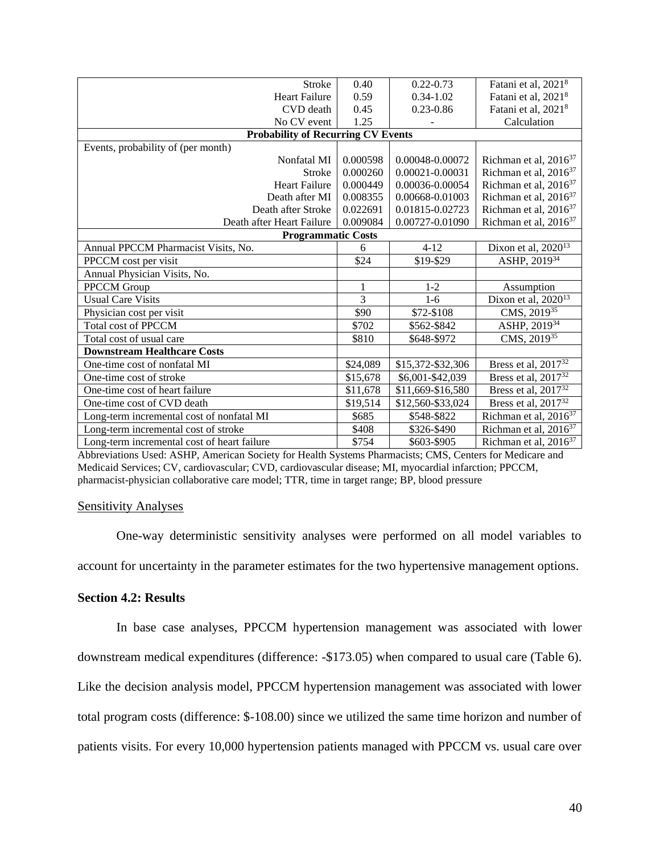| Stroke                                      | 0.40     | $0.22 - 0.73$     | Fatani et al, 2021 <sup>8</sup>   |
|---------------------------------------------|----------|-------------------|-----------------------------------|
| <b>Heart Failure</b>                        | 0.59     | $0.34 - 1.02$     | Fatani et al, 2021 <sup>8</sup>   |
| CVD death                                   | 0.45     | $0.23 - 0.86$     | Fatani et al, 2021 <sup>8</sup>   |
| No CV event                                 | 1.25     |                   | Calculation                       |
| <b>Probability of Recurring CV Events</b>   |          |                   |                                   |
| Events, probability of (per month)          |          |                   |                                   |
| Nonfatal MI                                 | 0.000598 | 0.00048-0.00072   | Richman et al, 2016 <sup>37</sup> |
| <b>Stroke</b>                               | 0.000260 | 0.00021-0.00031   | Richman et al, 2016 <sup>37</sup> |
| <b>Heart Failure</b>                        | 0.000449 | 0.00036-0.00054   | Richman et al, 2016 <sup>37</sup> |
| Death after MI                              | 0.008355 | 0.00668-0.01003   | Richman et al, 2016 <sup>37</sup> |
| Death after Stroke                          | 0.022691 | 0.01815-0.02723   | Richman et al, $2016^{37}$        |
| Death after Heart Failure                   | 0.009084 | 0.00727-0.01090   | Richman et al, 2016 <sup>37</sup> |
| <b>Programmatic Costs</b>                   |          |                   |                                   |
| Annual PPCCM Pharmacist Visits, No.         | 6        | $4 - 12$          | Dixon et al, 2020 <sup>13</sup>   |
| PPCCM cost per visit                        | \$24     | \$19-\$29         | ASHP, 201934                      |
| Annual Physician Visits, No.                |          |                   |                                   |
| <b>PPCCM</b> Group                          | 1        | $1 - 2$           | Assumption                        |
| <b>Usual Care Visits</b>                    | 3        | $1-6$             | Dixon et al, $2020^{13}$          |
| Physician cost per visit                    | \$90     | \$72-\$108        | CMS, 2019 <sup>35</sup>           |
| <b>Total cost of PPCCM</b>                  | \$702    | \$562-\$842       | ASHP, 201934                      |
| Total cost of usual care                    | \$810    | \$648-\$972       | CMS, 201935                       |
| <b>Downstream Healthcare Costs</b>          |          |                   |                                   |
| One-time cost of nonfatal MI                | \$24,089 | \$15,372-\$32,306 | Bress et al, 2017 <sup>32</sup>   |
| One-time cost of stroke                     | \$15,678 | \$6,001-\$42,039  | Bress et al, 2017 <sup>32</sup>   |
| One-time cost of heart failure              | \$11,678 | \$11,669-\$16,580 | Bress et al, 2017 <sup>32</sup>   |
| One-time cost of CVD death                  | \$19,514 | \$12,560-\$33,024 | Bress et al, 2017 <sup>32</sup>   |
| Long-term incremental cost of nonfatal MI   | \$685    | \$548-\$822       | Richman et al, 2016 <sup>37</sup> |
| Long-term incremental cost of stroke        | \$408    | \$326-\$490       | Richman et al, 2016 <sup>37</sup> |
| Long-term incremental cost of heart failure | \$754    | \$603-\$905       | Richman et al, 2016 <sup>37</sup> |

Abbreviations Used: ASHP, American Society for Health Systems Pharmacists; CMS, Centers for Medicare and Medicaid Services; CV, cardiovascular; CVD, cardiovascular disease; MI, myocardial infarction; PPCCM, pharmacist-physician collaborative care model; TTR, time in target range; BP, blood pressure

#### **Sensitivity Analyses**

One-way deterministic sensitivity analyses were performed on all model variables to account for uncertainty in the parameter estimates for the two hypertensive management options.

### <span id="page-40-0"></span>**Section 4.2: Results**

In base case analyses, PPCCM hypertension management was associated with lower downstream medical expenditures (difference: -\$173.05) when compared to usual care (Table 6). Like the decision analysis model, PPCCM hypertension management was associated with lower total program costs (difference: \$-108.00) since we utilized the same time horizon and number of patients visits. For every 10,000 hypertension patients managed with PPCCM vs. usual care over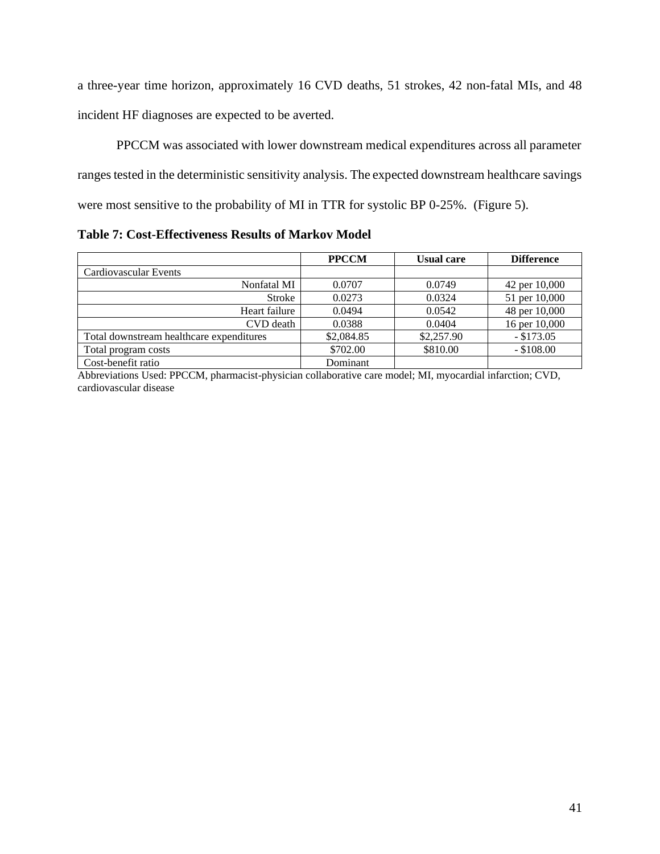a three-year time horizon, approximately 16 CVD deaths, 51 strokes, 42 non-fatal MIs, and 48 incident HF diagnoses are expected to be averted.

PPCCM was associated with lower downstream medical expenditures across all parameter ranges tested in the deterministic sensitivity analysis. The expected downstream healthcare savings were most sensitive to the probability of MI in TTR for systolic BP 0-25%. (Figure 5).

<span id="page-41-0"></span>**Table 7: Cost-Effectiveness Results of Markov Model**

|                                          | <b>PPCCM</b> | <b>Usual care</b> | <b>Difference</b> |
|------------------------------------------|--------------|-------------------|-------------------|
| Cardiovascular Events                    |              |                   |                   |
| Nonfatal MI                              | 0.0707       | 0.0749            | 42 per 10,000     |
| <b>Stroke</b>                            | 0.0273       | 0.0324            | 51 per 10,000     |
| Heart failure                            | 0.0494       | 0.0542            | 48 per 10,000     |
| CVD death                                | 0.0388       | 0.0404            | 16 per 10,000     |
| Total downstream healthcare expenditures | \$2,084.85   | \$2,257.90        | $-$ \$173.05      |
| Total program costs                      | \$702.00     | \$810.00          | $-$ \$108.00      |
| Cost-benefit ratio                       | Dominant     |                   |                   |

Abbreviations Used: PPCCM, pharmacist-physician collaborative care model; MI, myocardial infarction; CVD, cardiovascular disease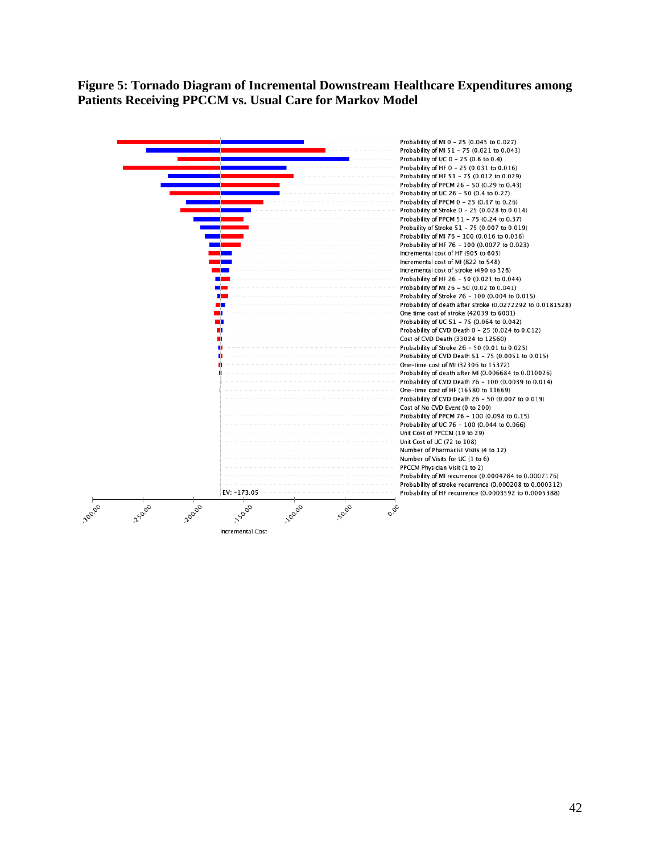<span id="page-42-0"></span>**Figure 5: Tornado Diagram of Incremental Downstream Healthcare Expenditures among Patients Receiving PPCCM vs. Usual Care for Markov Model**

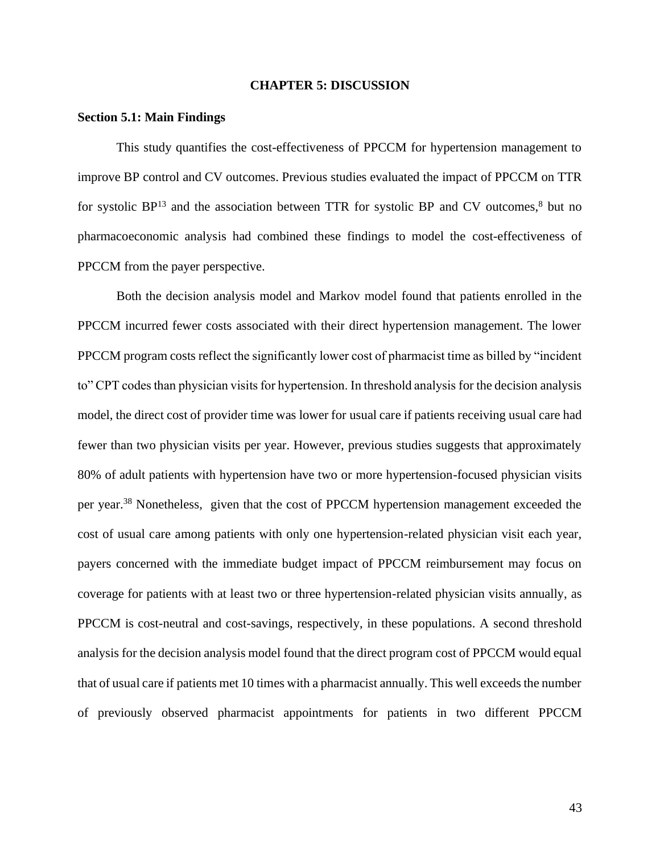#### **CHAPTER 5: DISCUSSION**

#### <span id="page-43-1"></span><span id="page-43-0"></span>**Section 5.1: Main Findings**

This study quantifies the cost-effectiveness of PPCCM for hypertension management to improve BP control and CV outcomes. Previous studies evaluated the impact of PPCCM on TTR for systolic  $BP^{13}$  and the association between TTR for systolic BP and CV outcomes,  $8$  but no pharmacoeconomic analysis had combined these findings to model the cost-effectiveness of PPCCM from the payer perspective.

Both the decision analysis model and Markov model found that patients enrolled in the PPCCM incurred fewer costs associated with their direct hypertension management. The lower PPCCM program costs reflect the significantly lower cost of pharmacist time as billed by "incident to" CPT codes than physician visits for hypertension. In threshold analysis for the decision analysis model, the direct cost of provider time was lower for usual care if patients receiving usual care had fewer than two physician visits per year. However, previous studies suggests that approximately 80% of adult patients with hypertension have two or more hypertension-focused physician visits per year.<sup>38</sup> Nonetheless, given that the cost of PPCCM hypertension management exceeded the cost of usual care among patients with only one hypertension-related physician visit each year, payers concerned with the immediate budget impact of PPCCM reimbursement may focus on coverage for patients with at least two or three hypertension-related physician visits annually, as PPCCM is cost-neutral and cost-savings, respectively, in these populations. A second threshold analysis for the decision analysis model found that the direct program cost of PPCCM would equal that of usual care if patients met 10 times with a pharmacist annually. This well exceeds the number of previously observed pharmacist appointments for patients in two different PPCCM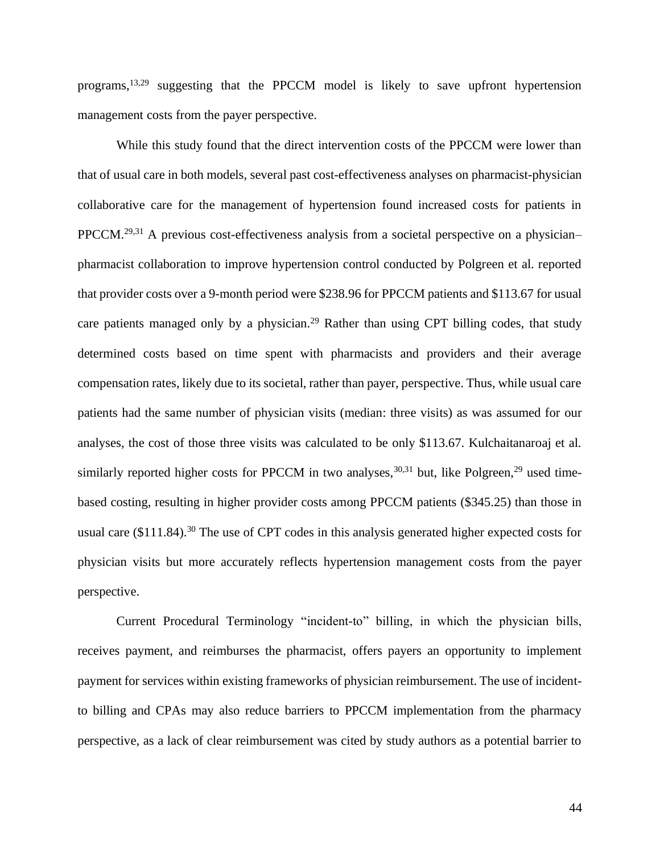programs,13,29 suggesting that the PPCCM model is likely to save upfront hypertension management costs from the payer perspective.

While this study found that the direct intervention costs of the PPCCM were lower than that of usual care in both models, several past cost-effectiveness analyses on pharmacist-physician collaborative care for the management of hypertension found increased costs for patients in PPCCM.<sup>29,31</sup> A previous cost-effectiveness analysis from a societal perspective on a physician– pharmacist collaboration to improve hypertension control conducted by Polgreen et al. reported that provider costs over a 9-month period were \$238.96 for PPCCM patients and \$113.67 for usual care patients managed only by a physician.<sup>29</sup> Rather than using CPT billing codes, that study determined costs based on time spent with pharmacists and providers and their average compensation rates, likely due to its societal, rather than payer, perspective. Thus, while usual care patients had the same number of physician visits (median: three visits) as was assumed for our analyses, the cost of those three visits was calculated to be only \$113.67. Kulchaitanaroaj et al. similarly reported higher costs for PPCCM in two analyses,  $30,31$  but, like Polgreen,  $29$  used timebased costing, resulting in higher provider costs among PPCCM patients (\$345.25) than those in usual care (\$111.84).<sup>30</sup> The use of CPT codes in this analysis generated higher expected costs for physician visits but more accurately reflects hypertension management costs from the payer perspective.

Current Procedural Terminology "incident-to" billing, in which the physician bills, receives payment, and reimburses the pharmacist, offers payers an opportunity to implement payment for services within existing frameworks of physician reimbursement. The use of incidentto billing and CPAs may also reduce barriers to PPCCM implementation from the pharmacy perspective, as a lack of clear reimbursement was cited by study authors as a potential barrier to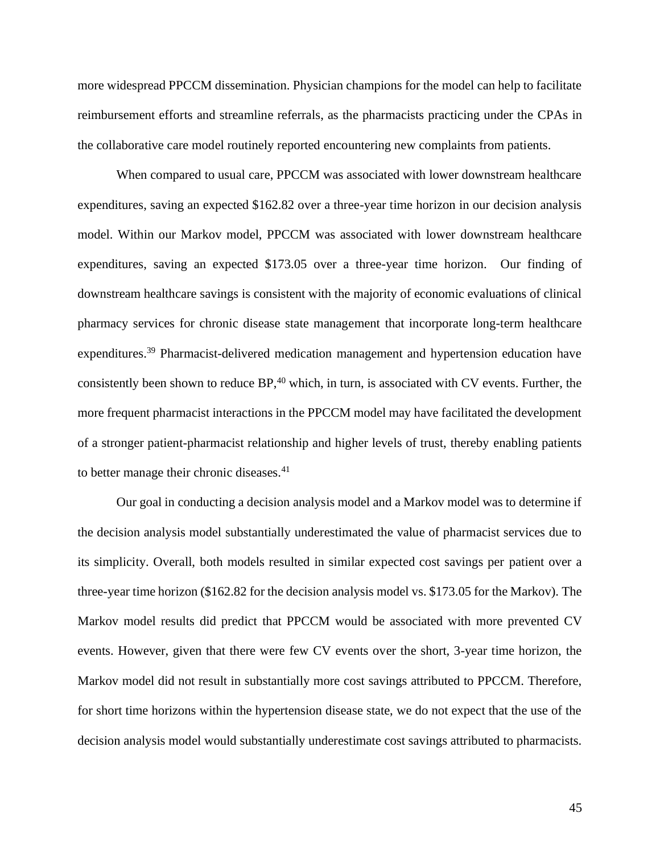more widespread PPCCM dissemination. Physician champions for the model can help to facilitate reimbursement efforts and streamline referrals, as the pharmacists practicing under the CPAs in the collaborative care model routinely reported encountering new complaints from patients.

When compared to usual care, PPCCM was associated with lower downstream healthcare expenditures, saving an expected \$162.82 over a three-year time horizon in our decision analysis model. Within our Markov model, PPCCM was associated with lower downstream healthcare expenditures, saving an expected \$173.05 over a three-year time horizon. Our finding of downstream healthcare savings is consistent with the majority of economic evaluations of clinical pharmacy services for chronic disease state management that incorporate long-term healthcare expenditures.<sup>39</sup> Pharmacist-delivered medication management and hypertension education have consistently been shown to reduce BP,<sup>40</sup> which, in turn, is associated with CV events. Further, the more frequent pharmacist interactions in the PPCCM model may have facilitated the development of a stronger patient-pharmacist relationship and higher levels of trust, thereby enabling patients to better manage their chronic diseases.<sup>41</sup>

Our goal in conducting a decision analysis model and a Markov model was to determine if the decision analysis model substantially underestimated the value of pharmacist services due to its simplicity. Overall, both models resulted in similar expected cost savings per patient over a three-year time horizon (\$162.82 for the decision analysis model vs. \$173.05 for the Markov). The Markov model results did predict that PPCCM would be associated with more prevented CV events. However, given that there were few CV events over the short, 3-year time horizon, the Markov model did not result in substantially more cost savings attributed to PPCCM. Therefore, for short time horizons within the hypertension disease state, we do not expect that the use of the decision analysis model would substantially underestimate cost savings attributed to pharmacists.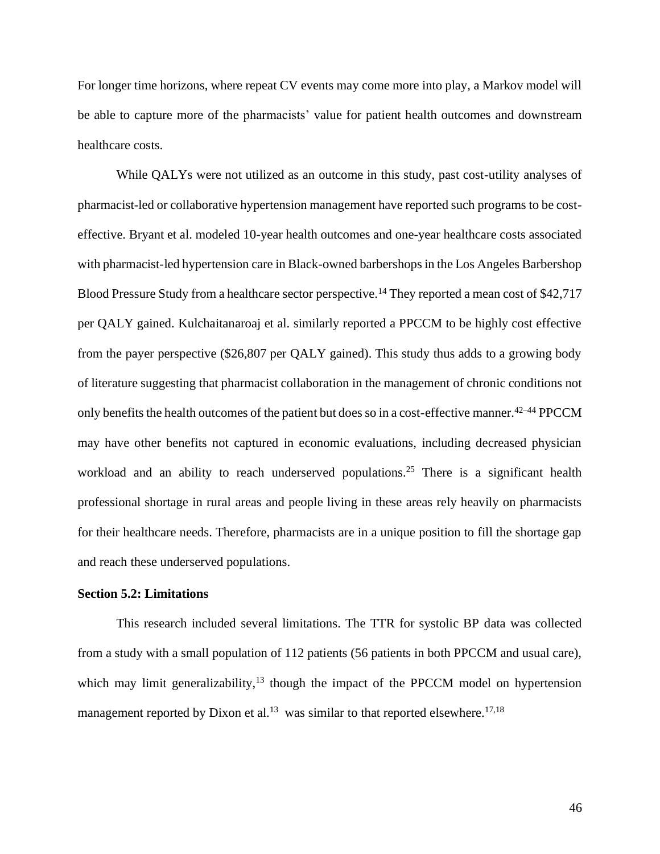For longer time horizons, where repeat CV events may come more into play, a Markov model will be able to capture more of the pharmacists' value for patient health outcomes and downstream healthcare costs.

While QALYs were not utilized as an outcome in this study, past cost-utility analyses of pharmacist-led or collaborative hypertension management have reported such programs to be costeffective. Bryant et al. modeled 10-year health outcomes and one-year healthcare costs associated with pharmacist-led hypertension care in Black-owned barbershops in the Los Angeles Barbershop Blood Pressure Study from a healthcare sector perspective.<sup>14</sup> They reported a mean cost of \$42,717 per QALY gained. Kulchaitanaroaj et al. similarly reported a PPCCM to be highly cost effective from the payer perspective (\$26,807 per QALY gained). This study thus adds to a growing body of literature suggesting that pharmacist collaboration in the management of chronic conditions not only benefits the health outcomes of the patient but does so in a cost-effective manner.42–44 PPCCM may have other benefits not captured in economic evaluations, including decreased physician workload and an ability to reach underserved populations.<sup>25</sup> There is a significant health professional shortage in rural areas and people living in these areas rely heavily on pharmacists for their healthcare needs. Therefore, pharmacists are in a unique position to fill the shortage gap and reach these underserved populations.

## <span id="page-46-0"></span>**Section 5.2: Limitations**

This research included several limitations. The TTR for systolic BP data was collected from a study with a small population of 112 patients (56 patients in both PPCCM and usual care), which may limit generalizability,<sup>13</sup> though the impact of the PPCCM model on hypertension management reported by Dixon et al.<sup>13</sup> was similar to that reported elsewhere.<sup>17,18</sup>

46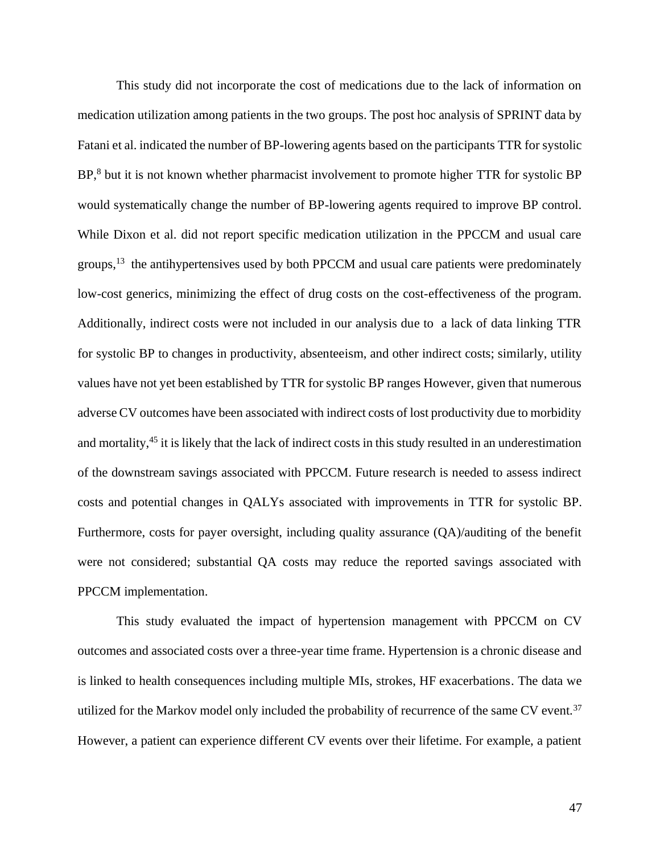This study did not incorporate the cost of medications due to the lack of information on medication utilization among patients in the two groups. The post hoc analysis of SPRINT data by Fatani et al. indicated the number of BP-lowering agents based on the participants TTR for systolic BP,<sup>8</sup> but it is not known whether pharmacist involvement to promote higher TTR for systolic BP would systematically change the number of BP-lowering agents required to improve BP control. While Dixon et al. did not report specific medication utilization in the PPCCM and usual care groups,  $13$  the antihypertensives used by both PPCCM and usual care patients were predominately low-cost generics, minimizing the effect of drug costs on the cost-effectiveness of the program. Additionally, indirect costs were not included in our analysis due to a lack of data linking TTR for systolic BP to changes in productivity, absenteeism, and other indirect costs; similarly, utility values have not yet been established by TTR for systolic BP ranges However, given that numerous adverse CV outcomes have been associated with indirect costs of lost productivity due to morbidity and mortality,<sup>45</sup> it is likely that the lack of indirect costs in this study resulted in an underestimation of the downstream savings associated with PPCCM. Future research is needed to assess indirect costs and potential changes in QALYs associated with improvements in TTR for systolic BP. Furthermore, costs for payer oversight, including quality assurance (QA)/auditing of the benefit were not considered; substantial QA costs may reduce the reported savings associated with PPCCM implementation.

This study evaluated the impact of hypertension management with PPCCM on CV outcomes and associated costs over a three-year time frame. Hypertension is a chronic disease and is linked to health consequences including multiple MIs, strokes, HF exacerbations. The data we utilized for the Markov model only included the probability of recurrence of the same CV event.<sup>37</sup> However, a patient can experience different CV events over their lifetime. For example, a patient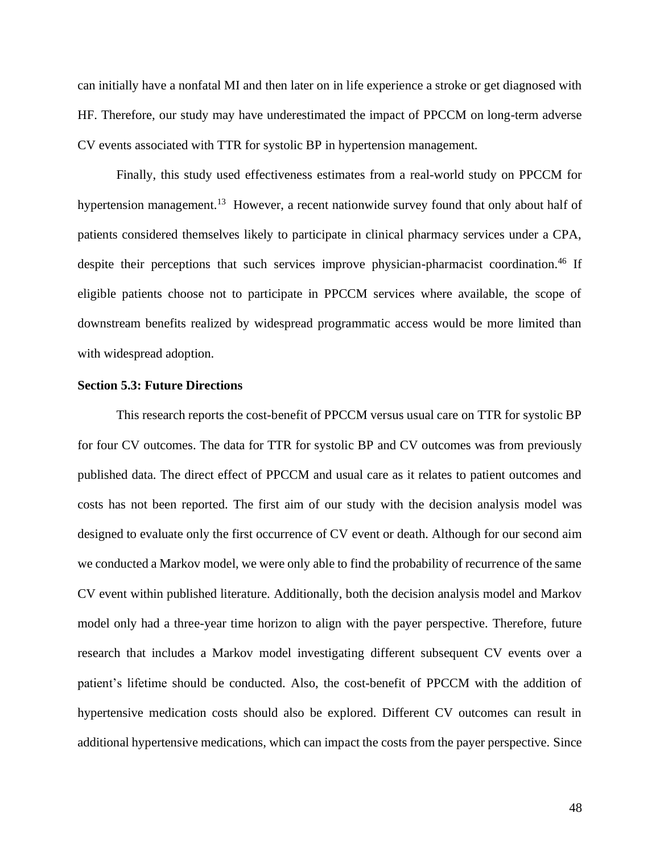can initially have a nonfatal MI and then later on in life experience a stroke or get diagnosed with HF. Therefore, our study may have underestimated the impact of PPCCM on long-term adverse CV events associated with TTR for systolic BP in hypertension management.

Finally, this study used effectiveness estimates from a real-world study on PPCCM for hypertension management.<sup>13</sup> However, a recent nationwide survey found that only about half of patients considered themselves likely to participate in clinical pharmacy services under a CPA, despite their perceptions that such services improve physician-pharmacist coordination.<sup>46</sup> If eligible patients choose not to participate in PPCCM services where available, the scope of downstream benefits realized by widespread programmatic access would be more limited than with widespread adoption.

# <span id="page-48-0"></span>**Section 5.3: Future Directions**

This research reports the cost-benefit of PPCCM versus usual care on TTR for systolic BP for four CV outcomes. The data for TTR for systolic BP and CV outcomes was from previously published data. The direct effect of PPCCM and usual care as it relates to patient outcomes and costs has not been reported. The first aim of our study with the decision analysis model was designed to evaluate only the first occurrence of CV event or death. Although for our second aim we conducted a Markov model, we were only able to find the probability of recurrence of the same CV event within published literature. Additionally, both the decision analysis model and Markov model only had a three-year time horizon to align with the payer perspective. Therefore, future research that includes a Markov model investigating different subsequent CV events over a patient's lifetime should be conducted. Also, the cost-benefit of PPCCM with the addition of hypertensive medication costs should also be explored. Different CV outcomes can result in additional hypertensive medications, which can impact the costs from the payer perspective. Since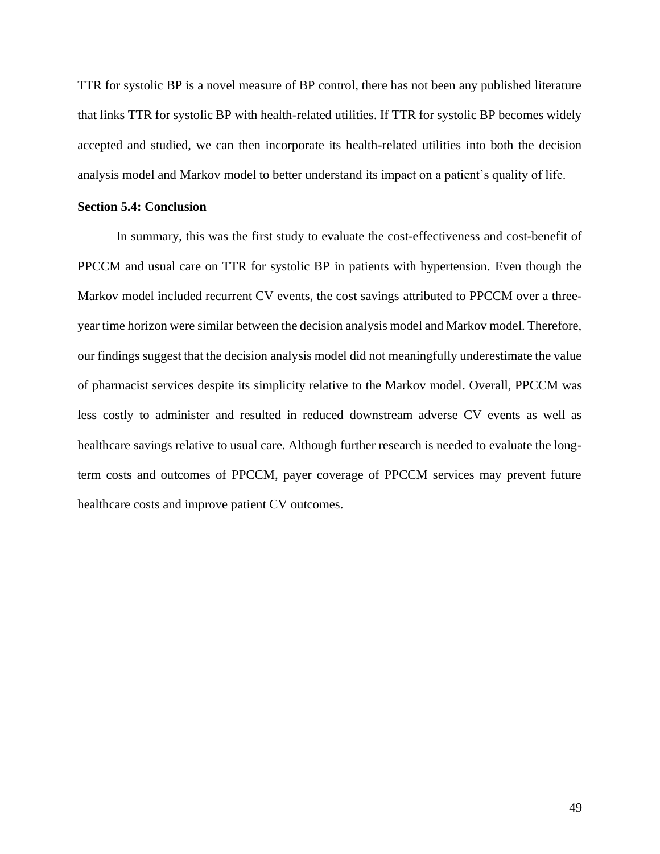TTR for systolic BP is a novel measure of BP control, there has not been any published literature that links TTR for systolic BP with health-related utilities. If TTR for systolic BP becomes widely accepted and studied, we can then incorporate its health-related utilities into both the decision analysis model and Markov model to better understand its impact on a patient's quality of life.

#### <span id="page-49-0"></span>**Section 5.4: Conclusion**

In summary, this was the first study to evaluate the cost-effectiveness and cost-benefit of PPCCM and usual care on TTR for systolic BP in patients with hypertension. Even though the Markov model included recurrent CV events, the cost savings attributed to PPCCM over a threeyear time horizon were similar between the decision analysis model and Markov model. Therefore, our findings suggest that the decision analysis model did not meaningfully underestimate the value of pharmacist services despite its simplicity relative to the Markov model. Overall, PPCCM was less costly to administer and resulted in reduced downstream adverse CV events as well as healthcare savings relative to usual care. Although further research is needed to evaluate the longterm costs and outcomes of PPCCM, payer coverage of PPCCM services may prevent future healthcare costs and improve patient CV outcomes.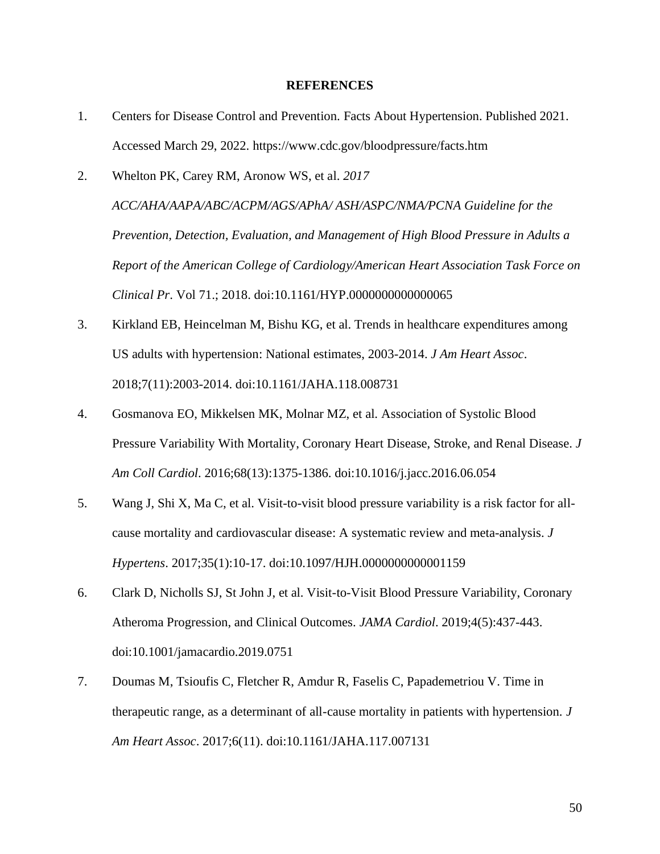#### **REFERENCES**

- <span id="page-50-0"></span>1. Centers for Disease Control and Prevention. Facts About Hypertension. Published 2021. Accessed March 29, 2022. https://www.cdc.gov/bloodpressure/facts.htm
- 2. Whelton PK, Carey RM, Aronow WS, et al. *2017 ACC/AHA/AAPA/ABC/ACPM/AGS/APhA/ ASH/ASPC/NMA/PCNA Guideline for the Prevention, Detection, Evaluation, and Management of High Blood Pressure in Adults a Report of the American College of Cardiology/American Heart Association Task Force on Clinical Pr*. Vol 71.; 2018. doi:10.1161/HYP.0000000000000065
- 3. Kirkland EB, Heincelman M, Bishu KG, et al. Trends in healthcare expenditures among US adults with hypertension: National estimates, 2003-2014. *J Am Heart Assoc*. 2018;7(11):2003-2014. doi:10.1161/JAHA.118.008731
- 4. Gosmanova EO, Mikkelsen MK, Molnar MZ, et al. Association of Systolic Blood Pressure Variability With Mortality, Coronary Heart Disease, Stroke, and Renal Disease. *J Am Coll Cardiol*. 2016;68(13):1375-1386. doi:10.1016/j.jacc.2016.06.054
- 5. Wang J, Shi X, Ma C, et al. Visit-to-visit blood pressure variability is a risk factor for allcause mortality and cardiovascular disease: A systematic review and meta-analysis. *J Hypertens*. 2017;35(1):10-17. doi:10.1097/HJH.0000000000001159
- 6. Clark D, Nicholls SJ, St John J, et al. Visit-to-Visit Blood Pressure Variability, Coronary Atheroma Progression, and Clinical Outcomes. *JAMA Cardiol*. 2019;4(5):437-443. doi:10.1001/jamacardio.2019.0751
- 7. Doumas M, Tsioufis C, Fletcher R, Amdur R, Faselis C, Papademetriou V. Time in therapeutic range, as a determinant of all-cause mortality in patients with hypertension. *J Am Heart Assoc*. 2017;6(11). doi:10.1161/JAHA.117.007131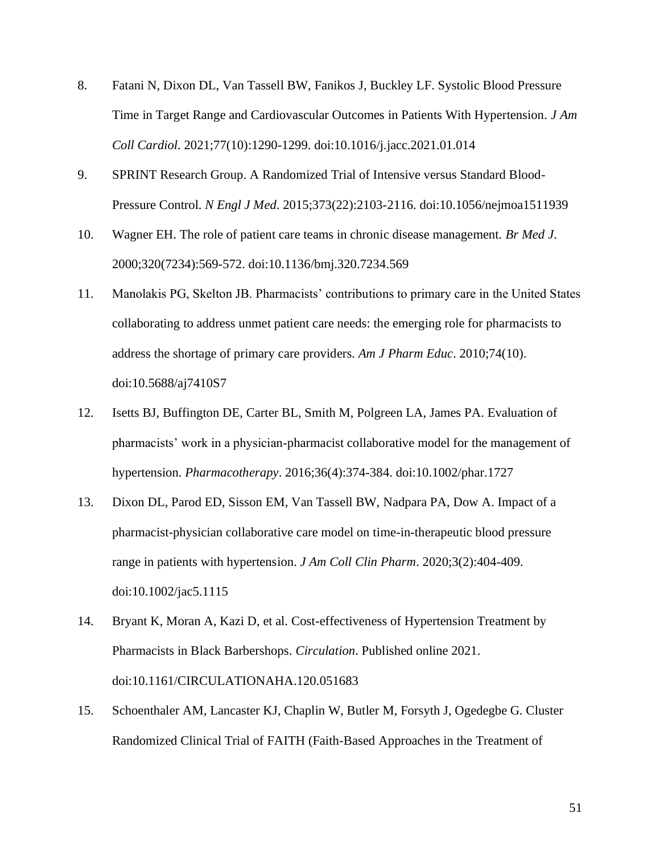- 8. Fatani N, Dixon DL, Van Tassell BW, Fanikos J, Buckley LF. Systolic Blood Pressure Time in Target Range and Cardiovascular Outcomes in Patients With Hypertension. *J Am Coll Cardiol*. 2021;77(10):1290-1299. doi:10.1016/j.jacc.2021.01.014
- 9. SPRINT Research Group. A Randomized Trial of Intensive versus Standard Blood-Pressure Control. *N Engl J Med*. 2015;373(22):2103-2116. doi:10.1056/nejmoa1511939
- 10. Wagner EH. The role of patient care teams in chronic disease management. *Br Med J*. 2000;320(7234):569-572. doi:10.1136/bmj.320.7234.569
- 11. Manolakis PG, Skelton JB. Pharmacists' contributions to primary care in the United States collaborating to address unmet patient care needs: the emerging role for pharmacists to address the shortage of primary care providers. *Am J Pharm Educ*. 2010;74(10). doi:10.5688/aj7410S7
- 12. Isetts BJ, Buffington DE, Carter BL, Smith M, Polgreen LA, James PA. Evaluation of pharmacists' work in a physician-pharmacist collaborative model for the management of hypertension. *Pharmacotherapy*. 2016;36(4):374-384. doi:10.1002/phar.1727
- 13. Dixon DL, Parod ED, Sisson EM, Van Tassell BW, Nadpara PA, Dow A. Impact of a pharmacist-physician collaborative care model on time-in-therapeutic blood pressure range in patients with hypertension. *J Am Coll Clin Pharm*. 2020;3(2):404-409. doi:10.1002/jac5.1115
- 14. Bryant K, Moran A, Kazi D, et al. Cost-effectiveness of Hypertension Treatment by Pharmacists in Black Barbershops. *Circulation*. Published online 2021. doi:10.1161/CIRCULATIONAHA.120.051683
- 15. Schoenthaler AM, Lancaster KJ, Chaplin W, Butler M, Forsyth J, Ogedegbe G. Cluster Randomized Clinical Trial of FAITH (Faith-Based Approaches in the Treatment of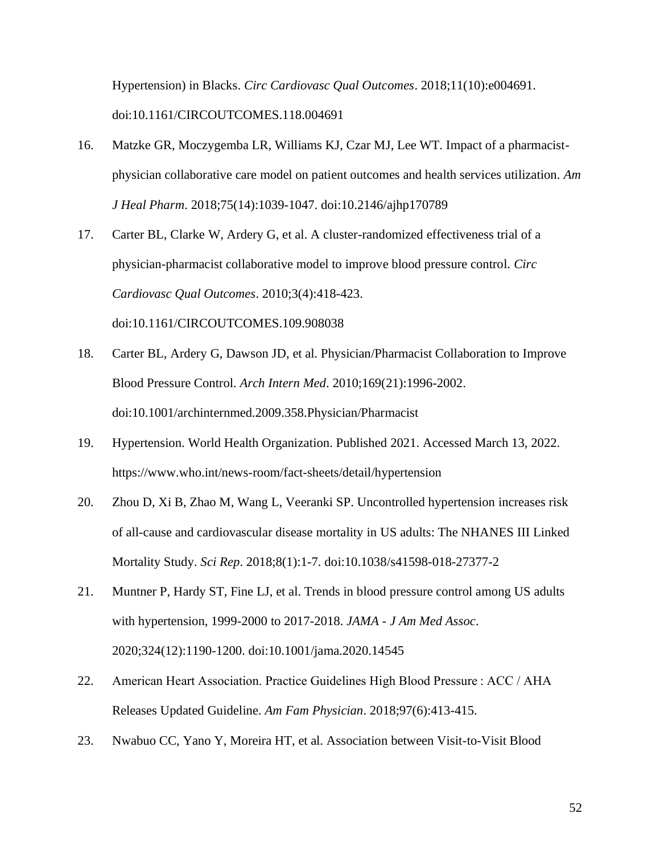Hypertension) in Blacks. *Circ Cardiovasc Qual Outcomes*. 2018;11(10):e004691. doi:10.1161/CIRCOUTCOMES.118.004691

- 16. Matzke GR, Moczygemba LR, Williams KJ, Czar MJ, Lee WT. Impact of a pharmacistphysician collaborative care model on patient outcomes and health services utilization. *Am J Heal Pharm*. 2018;75(14):1039-1047. doi:10.2146/ajhp170789
- 17. Carter BL, Clarke W, Ardery G, et al. A cluster-randomized effectiveness trial of a physician-pharmacist collaborative model to improve blood pressure control. *Circ Cardiovasc Qual Outcomes*. 2010;3(4):418-423. doi:10.1161/CIRCOUTCOMES.109.908038
- 18. Carter BL, Ardery G, Dawson JD, et al. Physician/Pharmacist Collaboration to Improve Blood Pressure Control. *Arch Intern Med*. 2010;169(21):1996-2002. doi:10.1001/archinternmed.2009.358.Physician/Pharmacist
- 19. Hypertension. World Health Organization. Published 2021. Accessed March 13, 2022. https://www.who.int/news-room/fact-sheets/detail/hypertension
- 20. Zhou D, Xi B, Zhao M, Wang L, Veeranki SP. Uncontrolled hypertension increases risk of all-cause and cardiovascular disease mortality in US adults: The NHANES III Linked Mortality Study. *Sci Rep*. 2018;8(1):1-7. doi:10.1038/s41598-018-27377-2
- 21. Muntner P, Hardy ST, Fine LJ, et al. Trends in blood pressure control among US adults with hypertension, 1999-2000 to 2017-2018. *JAMA - J Am Med Assoc*. 2020;324(12):1190-1200. doi:10.1001/jama.2020.14545
- 22. American Heart Association. Practice Guidelines High Blood Pressure : ACC / AHA Releases Updated Guideline. *Am Fam Physician*. 2018;97(6):413-415.
- 23. Nwabuo CC, Yano Y, Moreira HT, et al. Association between Visit-to-Visit Blood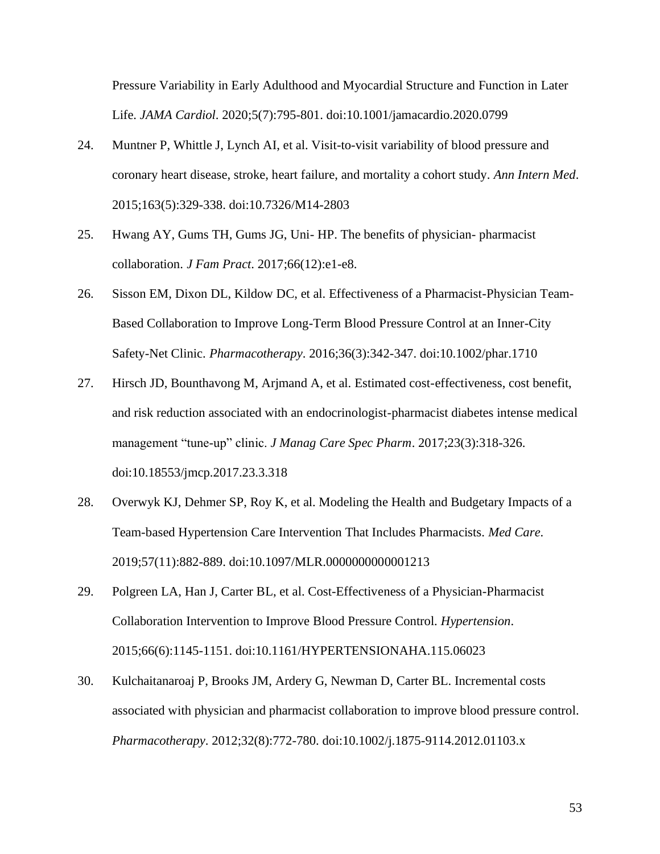Pressure Variability in Early Adulthood and Myocardial Structure and Function in Later Life. *JAMA Cardiol*. 2020;5(7):795-801. doi:10.1001/jamacardio.2020.0799

- 24. Muntner P, Whittle J, Lynch AI, et al. Visit-to-visit variability of blood pressure and coronary heart disease, stroke, heart failure, and mortality a cohort study. *Ann Intern Med*. 2015;163(5):329-338. doi:10.7326/M14-2803
- 25. Hwang AY, Gums TH, Gums JG, Uni- HP. The benefits of physician- pharmacist collaboration. *J Fam Pract*. 2017;66(12):e1-e8.
- 26. Sisson EM, Dixon DL, Kildow DC, et al. Effectiveness of a Pharmacist-Physician Team-Based Collaboration to Improve Long-Term Blood Pressure Control at an Inner-City Safety-Net Clinic. *Pharmacotherapy*. 2016;36(3):342-347. doi:10.1002/phar.1710
- 27. Hirsch JD, Bounthavong M, Arjmand A, et al. Estimated cost-effectiveness, cost benefit, and risk reduction associated with an endocrinologist-pharmacist diabetes intense medical management "tune-up" clinic. *J Manag Care Spec Pharm*. 2017;23(3):318-326. doi:10.18553/jmcp.2017.23.3.318
- 28. Overwyk KJ, Dehmer SP, Roy K, et al. Modeling the Health and Budgetary Impacts of a Team-based Hypertension Care Intervention That Includes Pharmacists. *Med Care*. 2019;57(11):882-889. doi:10.1097/MLR.0000000000001213
- 29. Polgreen LA, Han J, Carter BL, et al. Cost-Effectiveness of a Physician-Pharmacist Collaboration Intervention to Improve Blood Pressure Control. *Hypertension*. 2015;66(6):1145-1151. doi:10.1161/HYPERTENSIONAHA.115.06023
- 30. Kulchaitanaroaj P, Brooks JM, Ardery G, Newman D, Carter BL. Incremental costs associated with physician and pharmacist collaboration to improve blood pressure control. *Pharmacotherapy*. 2012;32(8):772-780. doi:10.1002/j.1875-9114.2012.01103.x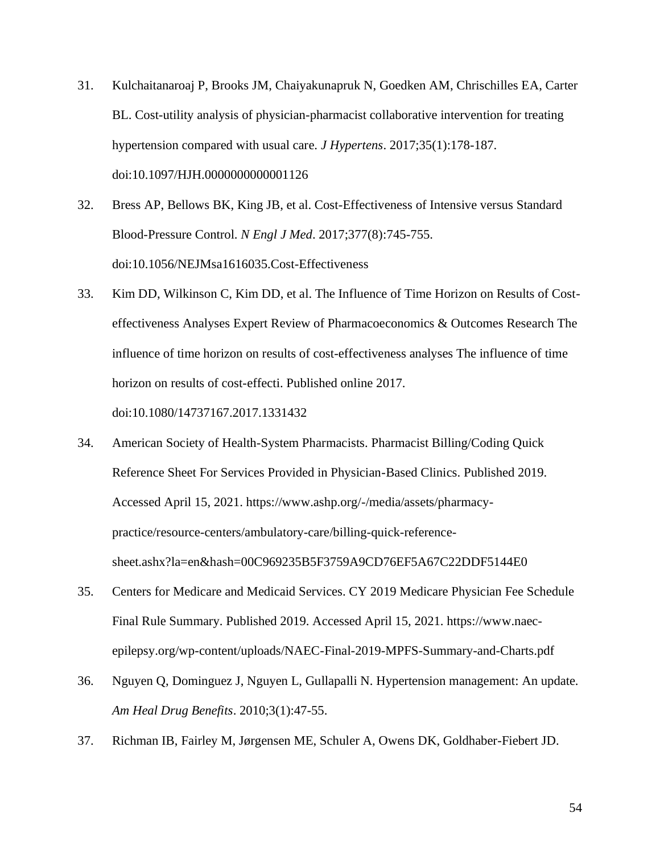- 31. Kulchaitanaroaj P, Brooks JM, Chaiyakunapruk N, Goedken AM, Chrischilles EA, Carter BL. Cost-utility analysis of physician-pharmacist collaborative intervention for treating hypertension compared with usual care. *J Hypertens*. 2017;35(1):178-187. doi:10.1097/HJH.0000000000001126
- 32. Bress AP, Bellows BK, King JB, et al. Cost-Effectiveness of Intensive versus Standard Blood-Pressure Control. *N Engl J Med*. 2017;377(8):745-755. doi:10.1056/NEJMsa1616035.Cost-Effectiveness
- 33. Kim DD, Wilkinson C, Kim DD, et al. The Influence of Time Horizon on Results of Costeffectiveness Analyses Expert Review of Pharmacoeconomics & Outcomes Research The influence of time horizon on results of cost-effectiveness analyses The influence of time horizon on results of cost-effecti. Published online 2017. doi:10.1080/14737167.2017.1331432
- 34. American Society of Health-System Pharmacists. Pharmacist Billing/Coding Quick Reference Sheet For Services Provided in Physician-Based Clinics. Published 2019. Accessed April 15, 2021. https://www.ashp.org/-/media/assets/pharmacypractice/resource-centers/ambulatory-care/billing-quick-referencesheet.ashx?la=en&hash=00C969235B5F3759A9CD76EF5A67C22DDF5144E0
- 35. Centers for Medicare and Medicaid Services. CY 2019 Medicare Physician Fee Schedule Final Rule Summary. Published 2019. Accessed April 15, 2021. https://www.naecepilepsy.org/wp-content/uploads/NAEC-Final-2019-MPFS-Summary-and-Charts.pdf
- 36. Nguyen Q, Dominguez J, Nguyen L, Gullapalli N. Hypertension management: An update. *Am Heal Drug Benefits*. 2010;3(1):47-55.
- 37. Richman IB, Fairley M, Jørgensen ME, Schuler A, Owens DK, Goldhaber-Fiebert JD.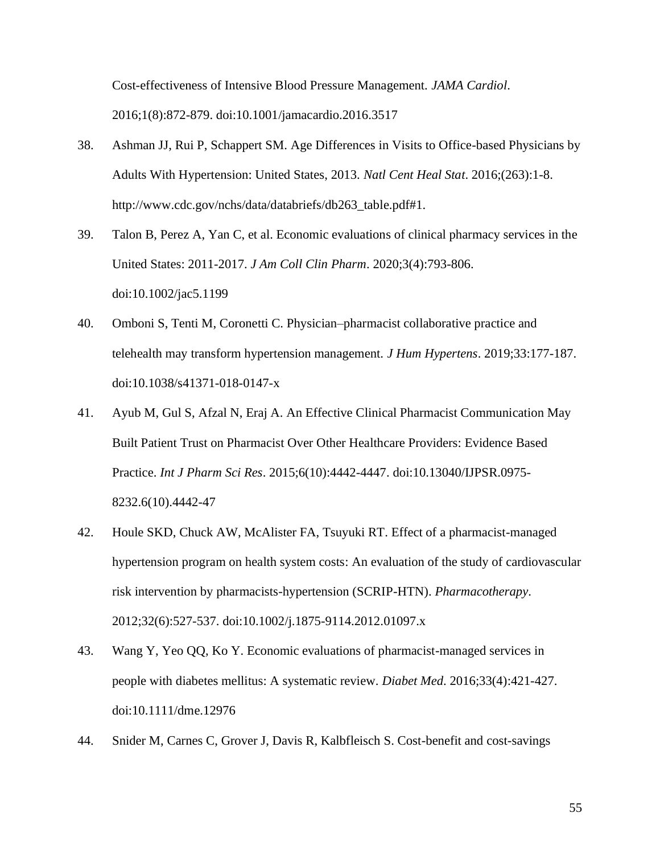Cost-effectiveness of Intensive Blood Pressure Management. *JAMA Cardiol*. 2016;1(8):872-879. doi:10.1001/jamacardio.2016.3517

- 38. Ashman JJ, Rui P, Schappert SM. Age Differences in Visits to Office-based Physicians by Adults With Hypertension: United States, 2013. *Natl Cent Heal Stat*. 2016;(263):1-8. http://www.cdc.gov/nchs/data/databriefs/db263\_table.pdf#1.
- 39. Talon B, Perez A, Yan C, et al. Economic evaluations of clinical pharmacy services in the United States: 2011-2017. *J Am Coll Clin Pharm*. 2020;3(4):793-806. doi:10.1002/jac5.1199
- 40. Omboni S, Tenti M, Coronetti C. Physician–pharmacist collaborative practice and telehealth may transform hypertension management. *J Hum Hypertens*. 2019;33:177-187. doi:10.1038/s41371-018-0147-x
- 41. Ayub M, Gul S, Afzal N, Eraj A. An Effective Clinical Pharmacist Communication May Built Patient Trust on Pharmacist Over Other Healthcare Providers: Evidence Based Practice. *Int J Pharm Sci Res*. 2015;6(10):4442-4447. doi:10.13040/IJPSR.0975- 8232.6(10).4442-47
- 42. Houle SKD, Chuck AW, McAlister FA, Tsuyuki RT. Effect of a pharmacist-managed hypertension program on health system costs: An evaluation of the study of cardiovascular risk intervention by pharmacists-hypertension (SCRIP-HTN). *Pharmacotherapy*. 2012;32(6):527-537. doi:10.1002/j.1875-9114.2012.01097.x
- 43. Wang Y, Yeo QQ, Ko Y. Economic evaluations of pharmacist-managed services in people with diabetes mellitus: A systematic review. *Diabet Med*. 2016;33(4):421-427. doi:10.1111/dme.12976
- 44. Snider M, Carnes C, Grover J, Davis R, Kalbfleisch S. Cost-benefit and cost-savings